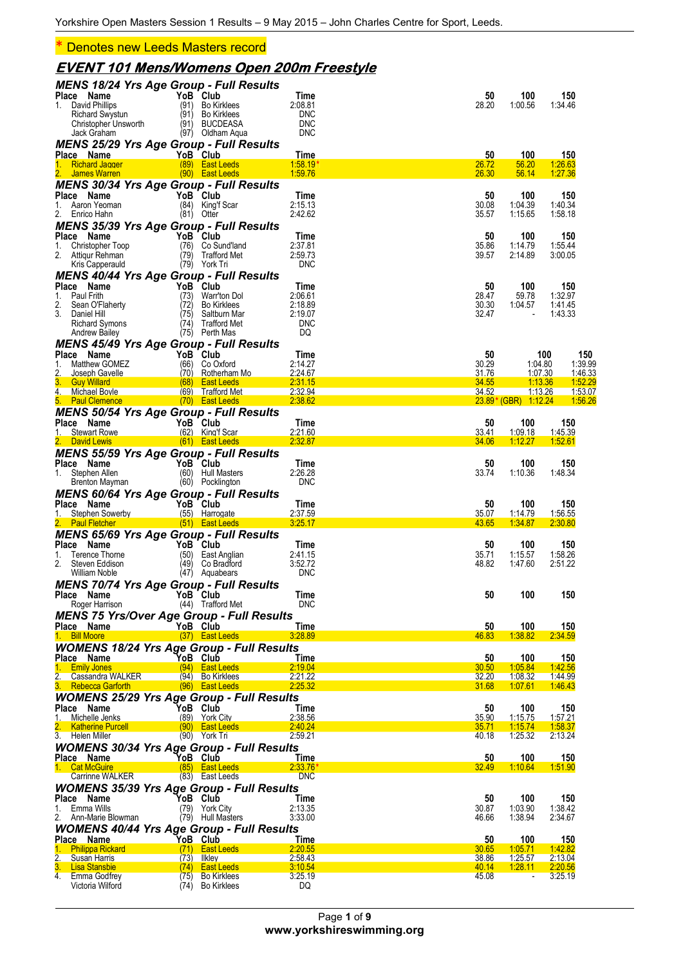\* Denotes new Leeds Masters record

### **EVENT 101 Mens/Womens Open 200m Freestyle**

|                                                                  | MENS 18/24 Yrs Age Group - Full Results       |                          |                |                                        |                           |
|------------------------------------------------------------------|-----------------------------------------------|--------------------------|----------------|----------------------------------------|---------------------------|
| Place Name<br>1. David Phillips                                  | YoB Club<br>(91) Bo Kirklees                  | Time<br>2:08.81          | 50<br>28.20    | 100<br>1:00.56                         | 150<br>1:34.46            |
| Richard Swystun                                                  | (91) Bo Kirklees                              | <b>DNC</b>               |                |                                        |                           |
| Christopher Unsworth<br>Jack Graham                              | (91) BUCDEASA<br>(97) Oldham Aqua             | <b>DNC</b><br><b>DNC</b> |                |                                        |                           |
| <b>MENS 25/29 Yrs Age Group - Full Results</b>                   |                                               |                          |                |                                        |                           |
| Place Name                                                       | YoB Club                                      | Time                     | 50             | 100                                    | 150                       |
| 1.<br><b>Richard Jagger</b><br>James Warren                      | (89) East Leeds<br>(90) East Leeds            | $1.58.19*$<br>1:59.76    | 26.72<br>26.30 | 56.20<br>56.14                         | 1:26.63<br>1:27.36        |
| <b>MENS 30/34 Yrs Age Group - Full Results</b>                   |                                               |                          |                |                                        |                           |
| Place Name                                                       | YoB Club                                      | Time                     | 50             | 100                                    | 150                       |
| 1.<br>Aaron Yeoman<br>Enrico Hahn<br>2.                          | (84)<br>King'f Scar<br>(81) Otter             | 2:15.13<br>2:42.62       | 30.08<br>35.57 | 1:04.39<br>1:15.65                     | 1:40.34<br>1:58.18        |
| <b>MENS 35/39 Yrs Age Group - Full Results</b>                   |                                               |                          |                |                                        |                           |
| Place Name                                                       | YoB Club                                      | Time                     | 50             | 100                                    | 150                       |
| 1.<br>Christopher Toop<br>2.<br>Attiqur Rehman                   | (76)<br>Co Sund'Iand<br>(79)<br>Trafford Met  | 2:37.81<br>2:59.73       | 35.86<br>39.57 | 1:14.79<br>2:14.89                     | 1:55.44<br>3:00.05        |
| Kris Capperauld                                                  | (79) York Tri                                 | <b>DNC</b>               |                |                                        |                           |
| <b>MENS 40/44 Yrs Age Group - Full Results</b>                   |                                               |                          |                |                                        |                           |
| Place Name<br>Paul Frith                                         | YoB Club                                      | Time<br>2:06.61          | 50<br>28.47    | 100<br>59.78                           | 150<br>1:32.97            |
| 1.<br>2.<br>Sean O'Flaherty                                      | (73)<br>Warr'ton Dol<br>(72) Bo Kirklees      | 2:18.89                  | 30.30          | 1:04.57                                | 1:41.45                   |
| 3.<br>Daniel Hill                                                | (75)<br>Saltburn Mar                          | 2:19.07                  | 32.47          |                                        | 1:43.33                   |
| Richard Symons<br><b>Andrew Bailey</b>                           | (74)<br>Trafford Met<br>(75) Perth Mas        | <b>DNC</b><br>DQ         |                |                                        |                           |
| <b>MENS 45/49 Yrs Age Group - Full Results</b>                   |                                               |                          |                |                                        |                           |
| Place Name                                                       | YoB Club                                      | Time                     | 50             |                                        | 100<br>150                |
| Matthew GOMEZ<br>1.<br>2.<br>Joseph Gavelle                      | (66)<br>Co Oxford<br>(70) Rotherham Mo        | 2:14.27<br>2:24.67       | 30.29<br>31.76 | 1:04.80<br>1:07.30                     | 1:39.99<br>1:46.33        |
| 3. Guy Willard                                                   | (68) East Leeds                               | 2:31.15                  | 34.55          | 1:13.36                                | 1:52.29                   |
| $\overline{4}$ .<br>Michael Boyle<br>5. Paul Clemence            | (69) Trafford Met                             | 2:32.94<br>2:38.62       | 34.52          | <u>1:13.26</u><br>23.89* (GBR) 1:12.24 | <u>1:53.07</u><br>1:56.26 |
| <b>MENS 50/54 Yrs Age Group - Full Results</b>                   | (70) East Leeds                               |                          |                |                                        |                           |
| Place Name                                                       | YoB Club                                      | Time                     | 50             | 100                                    | 150                       |
| 1.<br><b>Stewart Rowe</b>                                        | (62) King'f Scar                              | 2:21.60                  | 33.41          | 1:09.18                                | 1:45.39                   |
| 2. David Lewis<br><b>MENS 55/59 Yrs Age Group - Full Results</b> | $(61)$ East Leeds                             | 2:32.87                  | 34.06          | 1:12.27                                | 1:52.61                   |
| Place Name                                                       | YoB Club                                      | Time                     | 50             | 100                                    | 150                       |
| 1. Stephen Allen                                                 | (60) Hull Masters                             | 2:26.28                  | 33.74          | 1:10.36                                | 1:48.34                   |
| Brenton Mayman<br><b>MENS 60/64 Yrs Age Group - Full Results</b> | (60) Pocklington                              | <b>DNC</b>               |                |                                        |                           |
| Place Name                                                       | YoB Club                                      | Time                     | 50             | 100                                    | 150                       |
|                                                                  |                                               |                          |                |                                        |                           |
| 1. Stephen Sowerby                                               | (55) Harrogate                                | 2:37.59                  | 35.07          | 1:14.79                                | 1:56.55                   |
| 2. Paul Fletcher                                                 | (51) East Leeds                               | 3:25.17                  | 43.65          | 1:34.87                                | 2:30.80                   |
| <b>MENS 65/69 Yrs Age Group - Full Results</b>                   |                                               |                          |                |                                        |                           |
| Place Name<br>Terence Thorne<br>1.                               | YoB Club<br>(50)<br>East Anglian              | Time<br>2:41.15          | 50<br>35.71    | 100<br>1:15.57                         | 150<br>1:58.26            |
| 2.<br>Steven Eddison                                             | (49)<br>Co Bradford                           | 3:52.72                  | 48.82          | 1:47.60                                | 2:51.22                   |
| William Noble                                                    | (47) Aquabears                                | <b>DNC</b>               |                |                                        |                           |
| <b>MENS 70/74 Yrs Age Group - Full Results</b><br>Place Name     | YoB Club                                      | <b>Time</b>              | 50             | 100                                    | 150                       |
| Roger Harrison                                                   | (44) Trafford Met                             | <b>DNC</b>               |                |                                        |                           |
| <b>MENS 75 Yrs/Over Age Group - Full Results</b>                 |                                               |                          |                |                                        |                           |
| Place Name<br>1. Bill Moore                                      | YoB Club<br>(37) East Leeds                   | Time<br>3:28.89          | 50<br>46.83    | 100<br>1:38.82                         | 150<br>2:34.59            |
| <b>WOMENS 18/24 Yrs Age Group - Full Results</b>                 |                                               |                          |                |                                        |                           |
| Place Name                                                       | YoB Club                                      | Time                     | 50             | 100                                    | 150                       |
| 1. Emily Jones<br>2. Cassandra WALKER                            | (94) East Leeds<br>(94) Bo Kirklees           | 2:19.04<br>2:21.22       | 30.50<br>32.20 | 1:05.84<br>1.08.32                     | 1:42.56<br>1:44.99        |
| 3. Rebecca Garforth                                              | (96) East Leeds                               | 2:25.32                  | 31.68          | 1:07.61                                | 1:46.43                   |
| <b>WOMENS 25/29 Yrs Age Group - Full Results</b>                 |                                               |                          |                |                                        |                           |
| Place Name<br>1. Michelle Jenks                                  | YoB Club                                      | Time<br>2:38.56          | 50             | 100                                    | 150                       |
| <b>Katherine Purcell</b>                                         | (89) York City<br>(90) East Leeds             | 2:40.24                  | 35.90<br>35.71 | 1:15.75<br>1:15.74                     | 1:57.21<br>1:58.37        |
| 3. Helen Miller                                                  | (90) York Tri                                 | 2:59.21                  | 40.18          | 1:25.32                                | 2:13.24                   |
| <b>WOMENS 30/34 Yrs Age Group - Full Results</b><br>Place Name   | YoB Club                                      | Time                     | 50             | 100                                    | 150                       |
| 1. Cat McGuire                                                   | (85) East Leeds                               | $2:33.76*$               | 32.49          | 1:10.64                                | 1:51.90                   |
| Carrinne WALKER                                                  | (83) East Leeds                               | <b>DNC</b>               |                |                                        |                           |
| <b>WOMENS 35/39 Yrs Age Group - Full Results</b>                 |                                               |                          |                |                                        |                           |
| Place Name<br>1. Emma Wills                                      | YoB Club<br>(79) York City                    | Time<br>2:13.35          | 50<br>30.87    | 100<br>1:03.90                         | 150<br>1:38.42            |
| 2. Ann-Marie Blowman                                             | (79) Hull Masters                             | 3:33.00                  | 46.66          | 1:38.94                                | 2:34.67                   |
| <b>WOMENS 40/44 Yrs Age Group - Full Results</b>                 |                                               |                          |                |                                        |                           |
| Place Name                                                       | YoB Club<br>(71) East Leeds                   | Time<br>2:20.55          | 50<br>30.65    | 100<br>1:05.71                         | 150<br>1:42.82            |
| 1. Philippa Rickard<br>$2 -$<br>Susan Harris                     | (73)<br><b>Ilkley</b>                         | 2:58.43                  | 38.86          | 1.25.57                                | 2:13.04                   |
| 3.<br><b>Lisa Stansbie</b><br>4. Emma Godfrey                    | <b>East Leeds</b><br>(74)<br>(75) Bo Kirklees | 3:10.54<br>3:25.19       | 40.14<br>45.08 | 1:28.11<br>$\overline{\phantom{a}}$    | 2:20.56<br>3:25.19        |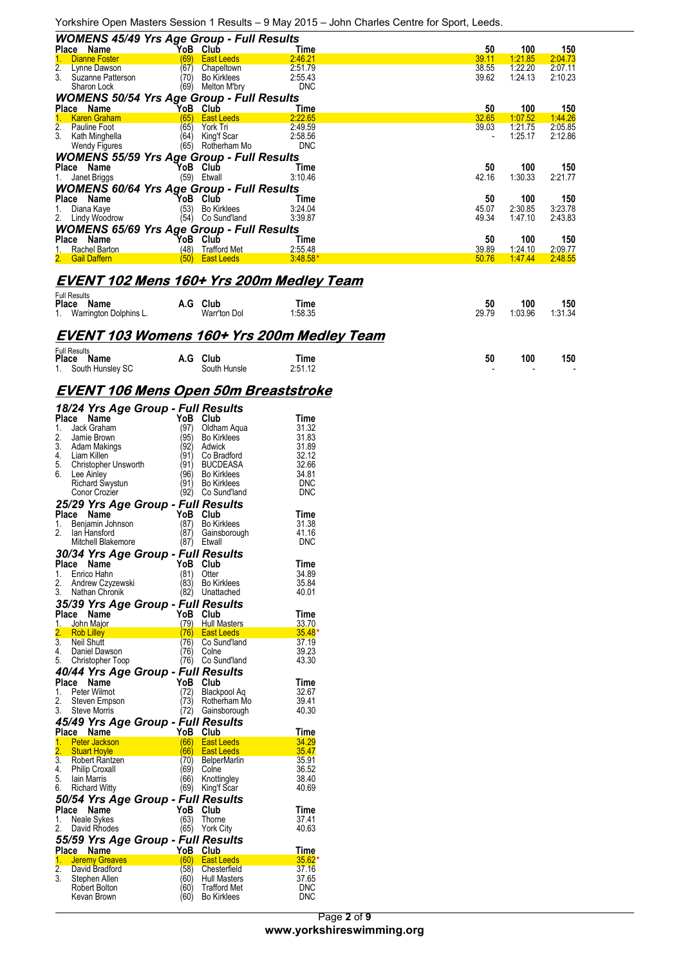Yorkshire Open Masters Session 1 Results – 9 May 2015 – John Charles Centre for Sport, Leeds.

| <b>WOMENS 45/49 Yrs Age Group - Full Results</b><br>50<br>100<br>Place Name<br>YoB<br>Club<br>Time<br>(69)<br><b>East Leeds</b><br>2:46.21<br>39.11<br>1:21.85<br><b>Dianne Foster</b> | 150<br>2:04.73<br>2:07.11 |
|----------------------------------------------------------------------------------------------------------------------------------------------------------------------------------------|---------------------------|
|                                                                                                                                                                                        |                           |
|                                                                                                                                                                                        |                           |
| 2.<br>(67)<br>2:51.79<br>1:22.20<br>38.55<br>Lynne Dawson<br>Chapeltown                                                                                                                |                           |
| 3.<br>(70)<br>2:55.43<br>39.62<br>1:24.13<br>Suzanne Patterson<br><b>Bo Kirklees</b>                                                                                                   | 2:10.23                   |
| <b>DNC</b><br>Sharon Lock<br>(69)<br>Melton M'bry                                                                                                                                      |                           |
| <b>WOMENS 50/54 Yrs Age Group - Full Results</b>                                                                                                                                       |                           |
| YoB Club<br>50<br>100<br>Place Name<br>Time                                                                                                                                            | 150                       |
| 32.65<br><b>East Leeds</b><br>2:22.65<br>1:07.52<br><b>Karen Graham</b><br>(65)                                                                                                        | 1:44.26                   |
| 2.<br>(65)<br>39.03<br>1:21.75<br>York Tri<br>2:49.59<br>Pauline Foot                                                                                                                  | 2:05.85                   |
| 3.<br>(64)<br>King'f Scar<br>2:58.56<br>1:25.17<br>Kath Minghella                                                                                                                      | 2:12.86                   |
| (65)<br>Wendy Figures<br>Rotherham Mo<br><b>DNC</b>                                                                                                                                    |                           |
| <b>WOMENS 55/59 Yrs Age Group - Full Results</b>                                                                                                                                       |                           |
| 100<br>Place Name<br>YoB Club<br>50<br>Time                                                                                                                                            | 150                       |
| (59) Etwall<br>42.16<br>1:30.33<br>3:10.46<br>Janet Briggs                                                                                                                             | 2:21.77                   |
| <b>WOMENS 60/64 Yrs Age Group - Full Results</b>                                                                                                                                       |                           |
| Place Name<br>YoB Club<br>100<br>50<br>Time                                                                                                                                            | 150                       |
| 45.07<br>2:30.85<br>(53)<br><b>Bo Kirklees</b><br>3:24.04                                                                                                                              | 3:23.78                   |
| Diana Kaye<br>(54)<br>49.34<br>1:47.10<br>Lindy Woodrow<br>Co Sund'land<br>3:39.87                                                                                                     | 2:43.83                   |
|                                                                                                                                                                                        |                           |
| <b>WOMENS 65/69 Yrs Age Group - Full Results</b>                                                                                                                                       |                           |
| Place Name<br>50<br>100<br>YoB<br>Club<br>Time                                                                                                                                         | 150                       |
| (48)<br>39.89<br>Rachel Barton<br><b>Trafford Met</b><br>2:55.48<br>1:24.10                                                                                                            | 2:09.77                   |
| 50.76<br>2. Gail Daffern<br>(50)<br><b>East Leeds</b><br>$3:48.58*$<br>1.47.44                                                                                                         | 2:48.55                   |
|                                                                                                                                                                                        |                           |
| <b>EVENT 102 Mens 160+ Yrs 200m Medley Team</b>                                                                                                                                        |                           |
| <b>Full Results</b>                                                                                                                                                                    |                           |
| A.G Club<br>100<br>50<br>Place Name<br>Time                                                                                                                                            | 150                       |
| 1:03.96<br>Warrington Dolphins L.<br>Warr'ton Dol<br>1:58.35<br>29.79<br>1.                                                                                                            | 1:31.34                   |
|                                                                                                                                                                                        |                           |
| <b>EVENT 103 Womens 160+ Yrs 200m Medley Team</b>                                                                                                                                      |                           |
| <b>Full Results</b>                                                                                                                                                                    |                           |
| 100<br>A.G Club<br>50<br>Place Name<br>Time                                                                                                                                            | 150                       |
| 1. South Hunsley SC<br>South Hunsle<br>2:51.12                                                                                                                                         |                           |

#### **EVENT 106 Mens Open 50m Breaststroke**

|                  | 18/24 Yrs Age Group - Full Results    |                |                                          |                   |
|------------------|---------------------------------------|----------------|------------------------------------------|-------------------|
| Place            | Name                                  | YoB            | Club                                     | Time              |
| 1.               | Jack Graham                           | (97)           | Oldham Aqua                              | 31.32             |
| 2.               | Jamie Brown                           | (95)           | <b>Bo Kirklees</b>                       | 31.83             |
| 3.               | Adam Makings                          | (92)           | Adwick                                   | 31.89             |
|                  | 4. Liam Killen                        | (91)           | Co Bradford                              | 32.12             |
|                  | 5. Christopher Unsworth               | (91)           | <b>BUCDEASA</b>                          | 32.66             |
| 6.               | Lee Ainley                            | (96)           | <b>Bo Kirklees</b>                       | 34.81             |
|                  | Richard Swystun                       | '91)           | <b>Bo Kirklees</b>                       | DNC               |
|                  | Conor Crozier                         | (92)           | Co Sund'land                             | <b>DNC</b>        |
|                  | 25/29 Yrs Age Group - Full Results    |                |                                          |                   |
| Place            | Name                                  | YoB            | Club                                     | Time              |
| 1.               | Benjamin Johnson                      | (87)           | <b>Bo Kirklees</b>                       | 31.38             |
| 2.               | lan Hansford                          | (87)           | Gainsborough                             | 41.16             |
|                  | Mitchell Blakemore                    | (87)           | Etwall                                   | <b>DNC</b>        |
|                  | 30/34 Yrs Age Group - Full Results    |                |                                          |                   |
|                  | Place Name                            | YoB            | Club                                     | Time              |
| 1.               | Enrico Hahn                           | (81)           | Otter                                    | 34.89             |
| 2.               | Andrew Czyzewski<br>3. Nathan Chronik | (83)<br>(82)   | <b>Bo Kirklees</b>                       | 35.84<br>40.01    |
|                  |                                       |                | Unattached                               |                   |
|                  | 35/39 Yrs Age Group - Full Results    |                |                                          |                   |
|                  | Place Name                            | YoB            | Club                                     | Time              |
| 2.               | 1. John Major<br><b>Rob Lilley</b>    | (79)<br>(76) - | <b>Hull Masters</b><br><b>East Leeds</b> | 33.70<br>$35.48*$ |
| $\overline{3}$ . | Neil Shutt                            | (76)           | Co Sund'land                             | 37.19             |
| 4.               | Daniel Dawson                         | (76)           | Colne                                    | 39.23             |
| 5.               | Christopher Toop                      | (76)           | Co Sund'land                             | 43.30             |
|                  | 40/44 Yrs Age Group - Full Results    |                |                                          |                   |
|                  | Place Name                            | YoB            | Club                                     | Time              |
| 1.               | Peter Wilmot                          | (72)           | Blackpool Aq                             | 32.67             |
| 2.               | Steven Empson                         | (73)           | Rotherham Mo                             | 39.41             |
| 3.               | Steve Morris                          | (72)           | Gainsborough                             | 40.30             |
|                  | 45/49 Yrs Age Group - Full Results    |                |                                          |                   |
|                  | Place Name                            | YoB            | Club                                     | Time              |
|                  | 1. Peter Jackson                      | (66)           | <b>East Leeds</b>                        | 34.29             |
|                  | 2. Stuart Hoyle                       | (66)           | <b>East Leeds</b>                        | $\frac{35.47}{ }$ |
|                  | 3. Robert Rantzen                     | (70)           | <b>BelperMarlin</b>                      | 35.91             |
| 4.               | <b>Philip Croxall</b>                 | (69)           | Colne                                    | 36.52             |
| 5.               | lain Marris                           | (66)           | Knottingley                              | 38.40             |
| 6.               | Richard Witty                         | (69)           | King'f Scar                              | 40.69             |
|                  | 50/54 Yrs Age Group - Full Results    |                |                                          |                   |
|                  | Place Name                            | YoB            | Club                                     | Time              |
| 1.               | Neale Sykes                           | (63)           | Thorne                                   | 37.41             |
| 2.               | David Rhodes                          | (65)           | York City                                | 40.63             |
|                  | 55/59 Yrs Age Group - Full Results    |                |                                          |                   |
|                  | Place Name                            | YoB            | Club                                     | Time              |
| $\overline{2}$ . | 1. Jeremy Greaves<br>David Bradford   | (60)<br>(58)   | <b>East Leeds</b><br>Chesterfield        | $35.62*$<br>37.16 |
| 3.               | Stephen Allen                         | (60)           | Hull Masters                             | 37.65             |
|                  | Robert Bolton                         | (60)           | <b>Trafford Met</b>                      | <b>DNC</b>        |
|                  | Kevan Brown                           | (60)           | <b>Bo Kirklees</b>                       | <b>DNC</b>        |
|                  |                                       |                |                                          |                   |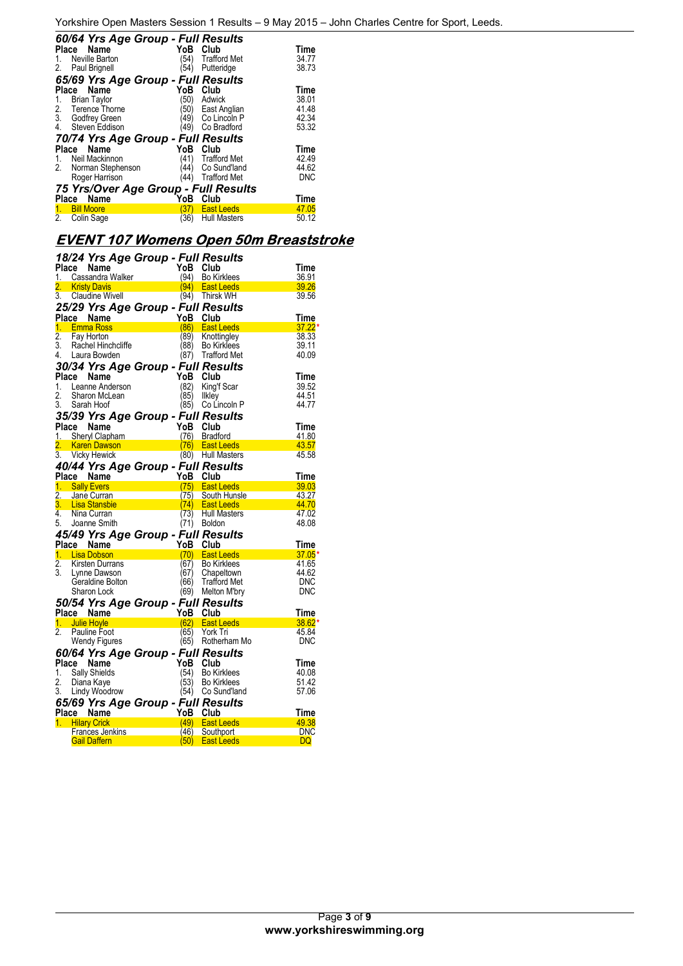|       | 60/64 Yrs Age Group - Full Results   |      |                     |            |  |  |  |
|-------|--------------------------------------|------|---------------------|------------|--|--|--|
| Place | Name                                 | YoB  | Club                | Time       |  |  |  |
|       | Neville Barton                       | (54) | <b>Trafford Met</b> | 34.77      |  |  |  |
| 2.    | Paul Brignell                        | '54) | Putteridge          | 38.73      |  |  |  |
|       | 65/69 Yrs Age Group - Full Results   |      |                     |            |  |  |  |
| Place | Name                                 | YoB  | Club                | Time       |  |  |  |
| 1.    | <b>Brian Taylor</b>                  | (50) | Adwick              | 38.01      |  |  |  |
| 2.    | Terence Thorne                       | 50)  | East Anglian        | 41.48      |  |  |  |
| 3.    | Godfrey Green                        | (49∕ | Co Lincoln P        | 42.34      |  |  |  |
| 4.    | Steven Eddison                       | 49)  | Co Bradford         | 53.32      |  |  |  |
|       | 70/74 Yrs Age Group - Full Results   |      |                     |            |  |  |  |
|       | Place Name                           | YoB  | Club                | Time       |  |  |  |
| 1.    | Neil Mackinnon                       | (41) | <b>Trafford Met</b> | 42.49      |  |  |  |
| 2.    | Norman Stephenson                    | 44)  | Co Sund'land        | 44.62      |  |  |  |
|       | Roger Harrison                       | 44)  | <b>Trafford Met</b> | <b>DNC</b> |  |  |  |
|       | 75 Yrs/Over Age Group - Full Results |      |                     |            |  |  |  |
|       | Place Name                           | YoB  | Club                | Time       |  |  |  |
|       | <b>Bill Moore</b>                    | 37)  | <b>East Leeds</b>   | 47.05      |  |  |  |
| 2.    | Colin Sage                           | (36) | <b>Hull Masters</b> | 50.12      |  |  |  |

# **EVENT 107 Womens Open 50m Breaststroke**

|                  | 18/24 Yrs Age Group - Full Results                                                                                                                                                                                                                  |                                                                                                                                        |          |                                        |                |
|------------------|-----------------------------------------------------------------------------------------------------------------------------------------------------------------------------------------------------------------------------------------------------|----------------------------------------------------------------------------------------------------------------------------------------|----------|----------------------------------------|----------------|
|                  | <b>Prace Name</b><br>1. Cassandra Walker<br>2. Kristy Davis<br>3. Claudine Wivell<br>2. Claudine Wivell                                                                                                                                             |                                                                                                                                        | YoB Club |                                        | Time           |
|                  |                                                                                                                                                                                                                                                     |                                                                                                                                        |          | (94) Bo Kirklees                       | 36.91          |
|                  |                                                                                                                                                                                                                                                     |                                                                                                                                        | (94)     | <b>East Leeds</b>                      | 39.26          |
|                  |                                                                                                                                                                                                                                                     |                                                                                                                                        |          | (94) Thirsk WH                         | 39.56          |
|                  | 25/29 Yrs Age Group - Full Results                                                                                                                                                                                                                  |                                                                                                                                        |          |                                        |                |
|                  | Place Name                                                                                                                                                                                                                                          |                                                                                                                                        |          |                                        | Time           |
|                  | 1. Emma Ross                                                                                                                                                                                                                                        | $\begin{array}{c}\n \begin{array}{c}\n \text{YoB} & \text{Club} \\  \text{YoB} & \text{Club} \\  \hline\n \end{array} \\  \end{array}$ |          | (86) East Leeds                        | $37.22*$       |
| $\overline{2}$ . | Fay Horton                                                                                                                                                                                                                                          |                                                                                                                                        |          | (89) Knottingley                       | 38.33          |
| 3.               | Rachel Hinchcliffe                                                                                                                                                                                                                                  |                                                                                                                                        |          | (88) Bo Kirklees                       | 39.11          |
|                  | 4. Laura Bowden                                                                                                                                                                                                                                     |                                                                                                                                        |          | (87) Trafford Met                      | 40.09          |
|                  | 30/34 Yrs Age Group - Full Results                                                                                                                                                                                                                  |                                                                                                                                        |          |                                        |                |
| Place            | Name                                                                                                                                                                                                                                                |                                                                                                                                        | YoB      | Club                                   | Time           |
| 1.               | Leanne Anderson                                                                                                                                                                                                                                     |                                                                                                                                        | (82)     | King'f Scar                            | 39.52          |
| 2.               | Sharon McLean                                                                                                                                                                                                                                       |                                                                                                                                        | (85)     | Ilkley                                 | 44.51          |
| 3.               | Sarah Hoof                                                                                                                                                                                                                                          |                                                                                                                                        | (85)     | Co Lincoln P                           | 44.77          |
|                  | 35/39 Yrs Age Group - Full Results                                                                                                                                                                                                                  |                                                                                                                                        |          |                                        |                |
|                  | Place Name                                                                                                                                                                                                                                          |                                                                                                                                        |          |                                        | Time           |
|                  | Contract Contract Contract Contract Contract Contract Contract Contract Contract Contract Contract Contract Contract Contract Contract Contract Contract Contract Contract Contract Contract Contract Contract Contract Contra<br>1. Sheryl Clapham |                                                                                                                                        |          |                                        | 41.80          |
| 2.               |                                                                                                                                                                                                                                                     |                                                                                                                                        |          |                                        | 43.57          |
|                  | 3. Vicky Hewick                                                                                                                                                                                                                                     |                                                                                                                                        |          |                                        | 45.58          |
|                  |                                                                                                                                                                                                                                                     |                                                                                                                                        |          |                                        |                |
|                  | 40/44 Yrs Age Group - Full Results                                                                                                                                                                                                                  |                                                                                                                                        |          |                                        |                |
|                  | Place Name                                                                                                                                                                                                                                          | The Club<br>The Club<br>(75) South Huns<br>(75) South Huns                                                                             |          |                                        | Time           |
|                  | 1. Sally Evers                                                                                                                                                                                                                                      |                                                                                                                                        |          |                                        | 39.03          |
|                  | 2. Jane Curran<br>3. Lisa Stansbie                                                                                                                                                                                                                  |                                                                                                                                        |          | (75) South Hunsle                      | 43.27          |
| 4.               |                                                                                                                                                                                                                                                     | $(74)$ East Leeds                                                                                                                      |          | (73) Hull Masters                      | 44.70<br>47.02 |
|                  | Nina Curran<br>5. Joanne Smith                                                                                                                                                                                                                      |                                                                                                                                        |          | (71) Boldon                            | 48.08          |
|                  |                                                                                                                                                                                                                                                     |                                                                                                                                        |          |                                        |                |
|                  | 45/49 Yrs Age Group - Full Results                                                                                                                                                                                                                  |                                                                                                                                        |          |                                        |                |
|                  | Place Name                                                                                                                                                                                                                                          |                                                                                                                                        | YoB Club |                                        | Time           |
|                  | 1. Lisa Dobson                                                                                                                                                                                                                                      |                                                                                                                                        | (70)     | <b>East Leeds</b>                      | $37.05*$       |
| $\overline{2}$ . | Kirsten Durrans                                                                                                                                                                                                                                     |                                                                                                                                        | (67)     | <b>Bo Kirklees</b>                     | 41.65          |
| 3.               | Lynne Dawson                                                                                                                                                                                                                                        |                                                                                                                                        | (67)     | Chapeltown                             | 44.62          |
|                  | Geraldine Bolton                                                                                                                                                                                                                                    |                                                                                                                                        |          |                                        | <b>DNC</b>     |
|                  | Sharon Lock                                                                                                                                                                                                                                         |                                                                                                                                        |          | (66) Trafford Met<br>(69) Melton M'bry | <b>DNC</b>     |
|                  | 50/54 Yrs Age Group - Full Results                                                                                                                                                                                                                  |                                                                                                                                        |          |                                        |                |
|                  | Place Name (1998 Club)<br>1. Julie Hoyle                                                                                                                                                                                                            |                                                                                                                                        |          |                                        | Time           |
|                  |                                                                                                                                                                                                                                                     |                                                                                                                                        |          | <b>East Leeds</b>                      | 38.62*         |
| 2                | Pauline Foot                                                                                                                                                                                                                                        |                                                                                                                                        | (65)     | York Tri                               | 45.84          |
|                  | Wendy Figures                                                                                                                                                                                                                                       |                                                                                                                                        |          | (65) Rotherham Mo                      | DNC            |
|                  | 60/64 Yrs Age Group - Full Results                                                                                                                                                                                                                  |                                                                                                                                        |          |                                        |                |
|                  | Place Name                                                                                                                                                                                                                                          |                                                                                                                                        | YoB      | Club                                   | Time           |
| 1.               | <b>Sally Shields</b>                                                                                                                                                                                                                                |                                                                                                                                        | (54)     | <b>Bo Kirklees</b>                     | 40.08          |
| 2.               | Diana Kaye                                                                                                                                                                                                                                          |                                                                                                                                        | (53)     | <b>Bo Kirklees</b>                     | 51.42          |
|                  | 3. Lindy Woodrow                                                                                                                                                                                                                                    |                                                                                                                                        | (54)     | Co Sund'land                           | 57.06          |
|                  | 65/69 Yrs Age Group - Full Results                                                                                                                                                                                                                  |                                                                                                                                        |          |                                        |                |
|                  | Place Name                                                                                                                                                                                                                                          |                                                                                                                                        | YoB Club |                                        | Time           |
|                  | 1. Hilary Crick                                                                                                                                                                                                                                     |                                                                                                                                        |          | (49) East Leeds                        | 49.38          |
|                  | Frances Jenkins                                                                                                                                                                                                                                     |                                                                                                                                        | (46)     | Southport                              | <b>DNC</b>     |
|                  | <b>Gail Daffern</b>                                                                                                                                                                                                                                 |                                                                                                                                        | (50)     | <b>East Leeds</b>                      | DQ             |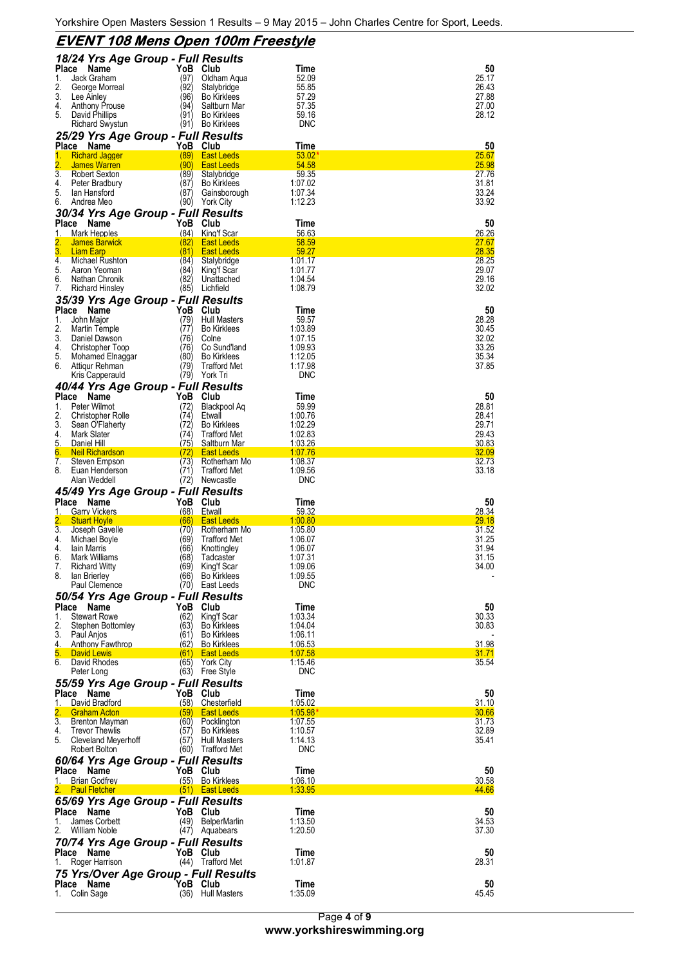|                                                          | <u>EVENT 108 Mens Open 100m Freestyle</u> |                                          |                            |                |  |  |  |
|----------------------------------------------------------|-------------------------------------------|------------------------------------------|----------------------------|----------------|--|--|--|
| 18/24 Yrs Age Group - Full Results                       |                                           |                                          |                            |                |  |  |  |
| Name<br>Place<br>Jack Graham<br>1.                       | YoB<br>(97)                               | Club<br>Oldham Aqua                      | Time<br>52.09              | 50<br>25.17    |  |  |  |
| 2.<br>George Morreal                                     | (92)                                      | Stalybridge                              | 55.85                      | 26.43          |  |  |  |
| 3.<br>Lee Ainley                                         | (96)                                      | <b>Bo Kirklees</b>                       | 57.29                      | 27.88          |  |  |  |
| 4.<br>Anthony Prouse<br>5.<br>David Phillips             | (94)<br>(91)                              | Saltburn Mar<br><b>Bo Kirklees</b>       | 57.35<br>59.16             | 27.00<br>28.12 |  |  |  |
| Richard Swystun                                          | (91)                                      | Bo Kirklees                              | <b>DNC</b>                 |                |  |  |  |
| 25/29 Yrs Age Group - Full Results                       |                                           |                                          |                            |                |  |  |  |
| Place<br>Name                                            |                                           | YoB Club                                 | Time                       | 50             |  |  |  |
| <b>Richard Jagger</b><br>1.<br>2.<br><b>James Warren</b> | (89)<br>(90)                              | <b>East Leeds</b><br><b>East Leeds</b>   | 53.02<br>54.58             | 25.67<br>25.98 |  |  |  |
| 3.<br><b>Robert Sexton</b>                               | (89)                                      | Stalybridge                              | 59.35                      | 27.76          |  |  |  |
| 4.<br>Peter Bradbury<br>5.<br>lan Hansford               | (87)<br>(87)                              | <b>Bo Kirklees</b><br>Gainsborough       | 1:07.02<br>1:07.34         | 31.81<br>33.24 |  |  |  |
| 6.<br>Andrea Meo                                         | (90)                                      | <b>York City</b>                         | 1:12.23                    | 33.92          |  |  |  |
| 30/34 Yrs Age Group - Full Results                       |                                           |                                          |                            |                |  |  |  |
| Place<br>Name                                            | YoB                                       | Club                                     | Time                       | 50             |  |  |  |
| Mark Hepples<br>1.<br>2.<br><b>James Barwick</b>         | (84)<br>(82)                              | King'f Scar<br><b>East Leeds</b>         | 56.63<br>58.59             | 26.26<br>27.67 |  |  |  |
| 3.<br><b>Liam Earp</b>                                   | (81)                                      | <b>East Leeds</b>                        | 59.27                      | <u>28.35</u>   |  |  |  |
| 4.<br>Michael Rushton<br>5.<br>Aaron Yeoman              | (84)<br>(84)                              | Stalybridge                              | 1:01.17<br>1:01.77         | 28.25<br>29.07 |  |  |  |
| 6.<br>Nathan Chronik                                     | (82)                                      | King't Scar<br>Unattached                | 1:04.54                    | 29.16          |  |  |  |
| 7.<br><b>Richard Hinsley</b>                             |                                           | (85) Lichfield                           | 1:08.79                    | 32.02          |  |  |  |
| 35/39 Yrs Age Group - Full Results                       |                                           |                                          |                            |                |  |  |  |
| Place<br>Name<br>1.<br>John Major                        | YoB<br>(79)                               | Club<br><b>Hull Masters</b>              | Time<br>59.57              | 50<br>28.28    |  |  |  |
| 2.<br>Martin Temple                                      | (77)                                      | <b>Bo Kirklees</b>                       | 1:03.89                    | 30.45          |  |  |  |
| 3.<br>Daniel Dawson                                      | (76)                                      | Colne                                    | 1:07.15                    | 32.02          |  |  |  |
| 4.<br>Christopher Toop<br>5.<br>Mohamed Elnaggar         | (76)<br>(80)                              | Co Sund'land<br><b>Bo Kirklees</b>       | 1:09.93<br>1:12.05         | 33.26<br>35.34 |  |  |  |
| Attiqur Rehman<br>6.                                     | 79)                                       | <b>Trafford Met</b>                      | 1:17.98                    | 37.85          |  |  |  |
| Kris Capperauld                                          | (79)                                      | York Tri                                 | <b>DNC</b>                 |                |  |  |  |
| 40/44 Yrs Age Group - Full Results                       |                                           |                                          |                            |                |  |  |  |
| Place<br>Name<br>Peter Wilmot<br>1.                      | YoB<br>(72)                               | Club<br>Blackpool Aq                     | Time<br>59.99              | 50<br>28.81    |  |  |  |
| 2.<br>Christopher Rolle                                  | (74)                                      | Etwall                                   | 1:00.76                    | 28.41          |  |  |  |
| 3.<br>Sean O'Flaherty<br>4.                              | (72                                       | <b>Bo Kirklees</b>                       | 1:02.29                    | 29.71          |  |  |  |
| Mark Slater<br>5.<br>Daniel Hill                         | (74)<br>(75)                              | <b>Trafford Met</b><br>Saltburn Mar      | 1:02.83<br>1:03.26         | 29.43<br>30.83 |  |  |  |
| 6.<br><b>Neil Richardson</b>                             | (72)                                      | <b>East Leeds</b>                        | 1:07.76                    | 32.09          |  |  |  |
| 7.<br>Steven Empson<br>8.<br>Euan Henderson              | (73)<br>(71)                              | Rotherham Mo<br><b>Trafford Met</b>      | 1:08.37<br>1:09.56         | 32.73<br>33.18 |  |  |  |
| Alan Weddell                                             | (72)                                      | Newcastle                                | <b>DNC</b>                 |                |  |  |  |
| 45/49 Yrs Age Group - Full Results                       |                                           |                                          |                            |                |  |  |  |
| Place<br>Name                                            | YoB                                       | Club                                     | Time                       | 50<br>28.34    |  |  |  |
| <b>Garry Vickers</b><br>1.<br>2.<br><b>Stuart Hoyle</b>  | (68)<br>(66)                              | Etwall<br><b>East Leeds</b>              | 59.32<br>1:00.80           | 29.18          |  |  |  |
|                                                          |                                           |                                          |                            |                |  |  |  |
| 3.<br>Joseph Gavelle                                     | (70)                                      | Rotherham Mo                             | 1:05.80                    | 31.52          |  |  |  |
| 4.<br>Michael Boyle                                      | (69)                                      | <b>Trafford Met</b>                      | 1:06.07                    | 31.25          |  |  |  |
| 4.<br>lain Marris<br>6.<br>Mark Williams                 | (66<br>(68)                               | Knottingley<br>Tadcaster                 | 1:06.07<br>1:07.31         | 31.94<br>31.15 |  |  |  |
| 7.<br><b>Richard Witty</b>                               | (69)                                      | King'f Scar                              | 1:09.06                    | 34.00          |  |  |  |
| 8.<br>lan Brierley                                       | (66)                                      | <b>Bo Kirklees</b>                       | 1:09.55<br><b>DNC</b>      |                |  |  |  |
| Paul Clemence                                            |                                           | (70) East Leeds                          |                            |                |  |  |  |
| 50/54 Yrs Age Group - Full Results<br>Place<br>Name      | YoB                                       | Club                                     | Time                       | 50             |  |  |  |
| 1.<br><b>Stewart Rowe</b>                                | (62)                                      | King'f Scar                              | 1:03.34                    | 30.33          |  |  |  |
| 2.<br>Stephen Bottomley<br>3.<br>Paul Anjos              | (63)<br>(61)                              | <b>Bo Kirklees</b><br><b>Bo Kirklees</b> | 1:04.04<br>1:06.11         | 30.83          |  |  |  |
| 4.<br><b>Anthony Fawthrop</b>                            | (62)                                      | <b>Bo Kirklees</b>                       | 1:06.53                    | 31.98          |  |  |  |
| 5.<br><b>David Lewis</b>                                 | (61)                                      | <b>East Leeds</b>                        | <u>1:07.58</u>             | 31.71          |  |  |  |
| 6. David Rhodes<br>Peter Long                            | (65)                                      | York City<br>(63) Free Style             | 1:15.46<br><b>DNC</b>      | 35.54          |  |  |  |
|                                                          |                                           |                                          |                            |                |  |  |  |
| 55/59 Yrs Age Group - Full Results<br>Place<br>Name      | YoB                                       | Club                                     | Time                       | 50             |  |  |  |
| David Bradford<br>1.                                     | (58)                                      | Chesterfield                             | 1:05.02                    | 31.10          |  |  |  |
| 2.<br><b>Graham Acton</b><br>3.<br>Brenton Mayman        | (59)<br>(60)                              | <b>East Leeds</b><br>Pocklington         | <u>1:05.98*</u><br>1:07.55 | 30.66<br>31.73 |  |  |  |
| 4.<br><b>Trevor Thewlis</b>                              | (57)                                      | <b>Bo Kirklees</b>                       | 1:10.57                    | 32.89          |  |  |  |
| 5.<br>Cleveland Meyerhoff<br>Robert Bolton               | (57)                                      | <b>Hull Masters</b>                      | 1:14.13<br><b>DNC</b>      | 35.41          |  |  |  |
|                                                          | (60)                                      | Trafford Met                             |                            |                |  |  |  |
| 60/64 Yrs Age Group - Full Results<br>Place Name         | YoB Club                                  |                                          | Time                       | 50             |  |  |  |
| <b>Brian Godfrey</b><br>1.                               |                                           | (55) Bo Kirklees                         | 1:06.10                    | 30.58          |  |  |  |
| <b>Paul Fletcher</b>                                     |                                           | $(51)$ East Leeds                        | 1:33.95                    | 44.66          |  |  |  |
| 65/69 Yrs Age Group - Full Results<br>Place<br>Name      | YoB Club                                  |                                          | Time                       | 50             |  |  |  |
| James Corbett<br>1.                                      | (49)                                      | <b>BelperMarlin</b>                      | 1:13.50                    | 34.53          |  |  |  |
| William Noble<br>2.                                      |                                           | (47) Aquabears                           | 1:20.50                    | 37.30          |  |  |  |
| 70/74 Yrs Age Group - Full Results                       |                                           |                                          |                            |                |  |  |  |
| Place<br>Name<br>Roger Harrison<br>1.                    | YoB Club                                  | (44) Trafford Met                        | Time<br>1:01.87            | 50<br>28.31    |  |  |  |
| 75 Yrs/Over Age Group - Full Results                     |                                           |                                          |                            |                |  |  |  |
| Place<br>Name<br>Colin Sage<br>1.                        | YoB Club                                  | (36) Hull Masters                        | Time<br>1:35.09            | 50<br>45.45    |  |  |  |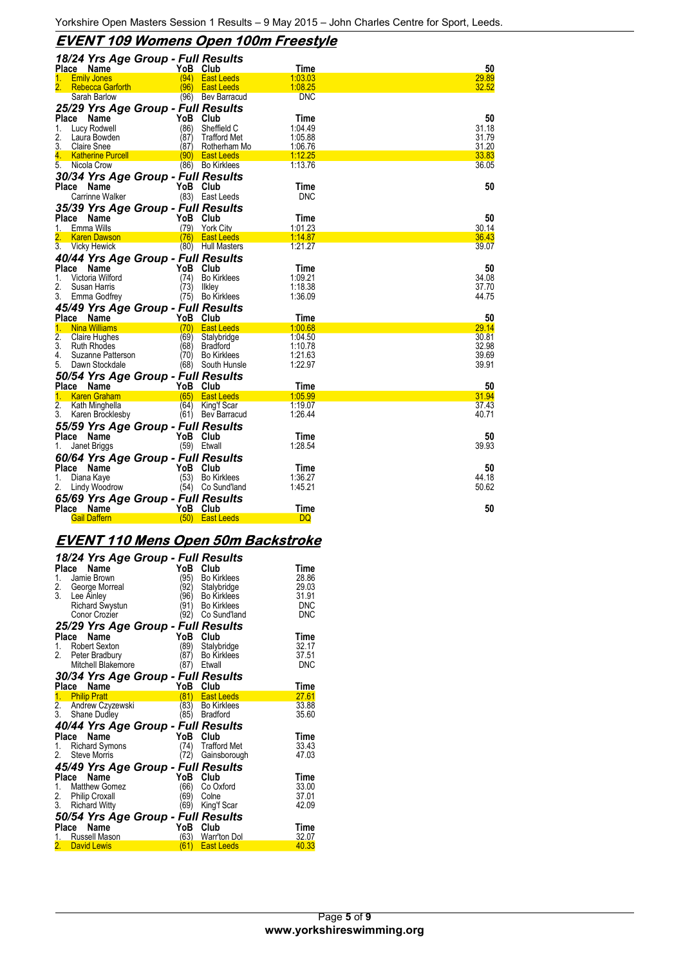# **EVENT 109 Womens Open 100m Freestyle**

| 18/24 Yrs Age Group - Full Results |          |                     |                |       |
|------------------------------------|----------|---------------------|----------------|-------|
| Place Name                         |          | YoB Club            | Time           | 50    |
| <b>Emily Jones</b><br>1.           | (94)     | <b>East Leeds</b>   | 1:03.03        | 29.89 |
| <b>Rebecca Garforth</b>            | (96)     | <b>East Leeds</b>   | 1:08.25        | 32.52 |
| Sarah Barlow                       |          | (96) Bev Barracud   | DNC            |       |
| 25/29 Yrs Age Group - Full Results |          |                     |                |       |
| Place<br>Name                      | YoB      | Club                | Time           | 50    |
| Lucy Rodwell<br>1.                 | (86)     | Sheffield C         | 1:04.49        | 31.18 |
| 2.<br>Laura Bowden                 | (87)     | <b>Trafford Met</b> | 1:05.88        | 31.79 |
| 3.<br><b>Claire Snee</b>           | (87)     | Rotherham Mo        | 1:06.76        | 31.20 |
| 4.<br><b>Katherine Purcell</b>     | (90)     | <b>East Leeds</b>   | 1:12.25        | 33.83 |
| Nicola Crow<br>5.                  |          | (86) Bo Kirklees    | 1:13.76        | 36.05 |
| 30/34 Yrs Age Group - Full Results |          |                     |                |       |
| Place<br>Name                      |          | YoB Club            | Time           | 50    |
| Carrinne Walker                    |          | (83) East Leeds     | <b>DNC</b>     |       |
| 35/39 Yrs Age Group - Full Results |          |                     |                |       |
| Place<br>Name                      | YoB      | Club                | Time           | 50    |
| Emma Wills<br>1.                   | (79)     | <b>York City</b>    | 1:01.23        | 30.14 |
| <b>Karen Dawson</b>                | (76)     | <b>East Leeds</b>   | <u>1:14.87</u> | 36.43 |
| 3.<br>Vicky Hewick                 |          | (80) Hull Masters   | 1:21.27        | 39.07 |
| 40/44 Yrs Age Group - Full Results |          |                     |                |       |
| <b>Place</b><br>Name               | YoB      | Club                | Time           | 50    |
| Victoria Wilford<br>1.             | (74)     | <b>Bo Kirklees</b>  | 1:09.21        | 34.08 |
| 2.<br>Susan Harris                 | (73)     | Ilkley              | 1:18.38        | 37.70 |
| 3.<br>Emma Godfrey                 |          | (75) Bo Kirklees    | 1:36.09        | 44.75 |
| 45/49 Yrs Age Group - Full Results |          |                     |                |       |
| Place<br>Name                      | YoB      | Club                | Time           | 50    |
| 1.<br><b>Nina Williams</b>         | (70)     | <b>East Leeds</b>   | 1:00.68        | 29.14 |
| 2.<br><b>Claire Hughes</b>         | (69)     | Stalybridge         | 1:04.50        | 30.81 |
| 3.<br><b>Ruth Rhodes</b>           | (68)     | <b>Bradford</b>     | 1:10.78        | 32.98 |
| Suzanne Patterson<br>4.            | (70)     | <b>Bo Kirklees</b>  | 1:21.63        | 39.69 |
| 5.<br>Dawn Stockdale               |          | (68) South Hunsle   | 1:22.97        | 39.91 |
| 50/54 Yrs Age Group - Full Results |          |                     |                |       |
| Place<br>Name                      | YoB      | Club                | Time           | 50    |
| <b>Karen Graham</b><br>1.          | (65)     | <b>East Leeds</b>   | 1:05.99        | 31.94 |
| 2.<br>Kath Minghella               | (64)     | King'f Scar         | 1:19.07        | 37.43 |
| 3.<br>Karen Brocklesby             | (61)     | Bev Barracud        | 1:26.44        | 40.71 |
| 55/59 Yrs Age Group - Full Results |          |                     |                |       |
| Place<br>Name                      | YoB      | Club                | Time           | 50    |
| Janet Briggs<br>1.                 |          | (59) Etwall         | 1:28.54        | 39.93 |
| 60/64 Yrs Age Group - Full Results |          |                     |                |       |
| Place<br>Name                      | YoB      | Club                | Time           | 50    |
| Diana Kaye<br>1.                   | (53)     | <b>Bo Kirklees</b>  | 1:36.27        | 44.18 |
| 2.<br>Lindy Woodrow                | (54)     | Co Sund'land        | 1:45.21        | 50.62 |
| 65/69 Yrs Age Group - Full Results |          |                     |                |       |
| Place Name                         | YoB Club |                     | <b>Time</b>    | 50    |
| <b>Gail Daffern</b>                |          | (50) East Leeds     | <b>DQ</b>      |       |
|                                    |          |                     |                |       |

# **EVENT 110 Mens Open 50m Backstroke**

|               | 18/24 Yrs Age Group - Full Results |          |                     |             |
|---------------|------------------------------------|----------|---------------------|-------------|
|               | Name<br>Place                      | YoB Club |                     | Time        |
| 1.            | Jamie Brown                        | (95)     | <b>Bo Kirklees</b>  | 28.86       |
| $\frac{2}{x}$ | George Morreal                     | 92)      | Stalybridge         | 29.03       |
| 3.            | Lee Ainley                         | (96      | <b>Bo Kirklees</b>  | 31.91       |
|               | <b>Richard Swystun</b>             | (91)     | <b>Bo Kirklees</b>  | <b>DNC</b>  |
|               | Conor Crozier                      |          | (92) Co Sund'land   | DNC         |
|               | 25/29 Yrs Age Group - Full Results |          |                     |             |
| Place         | Name                               | YoB      | Club                | Time        |
| 1.            | <b>Robert Sexton</b>               | (89)     | Stalybridge         | 32.17       |
|               | 2. Peter Bradbury                  | (87)     | <b>Bo Kirklees</b>  | 37.51       |
|               | Mitchell Blakemore                 | (87)     | Etwall              | <b>DNC</b>  |
|               | 30/34 Yrs Age Group - Full Results |          |                     |             |
|               | Place Name                         | YoB Club |                     | Time        |
|               | 1. Philip Pratt                    | (81)     | <b>East Leeds</b>   | 27.61       |
|               | 2. Andrew Czyzewski                | (83)     | <b>Bo Kirklees</b>  | 33.88       |
|               | 3. Shane Dudley                    |          | (85) Bradford       | 35.60       |
|               | 40/44 Yrs Age Group - Full Results |          |                     |             |
|               | Place<br>Name                      | YoB      | Club                | Time        |
| 1.            | <b>Richard Symons</b>              | (74)     | <b>Trafford Met</b> | 33.43       |
| 2.            | <b>Steve Morris</b>                | (72)     | Gainsborough        | 47.03       |
|               | 45/49 Yrs Age Group - Full Results |          |                     |             |
|               | Name<br>Place                      | YoB      | Club                | <b>Time</b> |
|               | 1. Matthew Gomez                   | (66)     | Co Oxford           | 33.00       |
|               | 2. Philip Croxall                  | '69)     | Colne               | 37.01       |
| 3.            | <b>Richard Witty</b>               | (69)     | King'f Scar         | 42.09       |
|               | 50/54 Yrs Age Group - Full Results |          |                     |             |
|               | Place<br>Name                      | YoB      | Club                | Time        |
|               | Russell Mason                      | (63)     | Warr'ton Dol        | 32.07       |
|               | 2. David Lewis                     | (61)     | <b>East Leeds</b>   | 40.33       |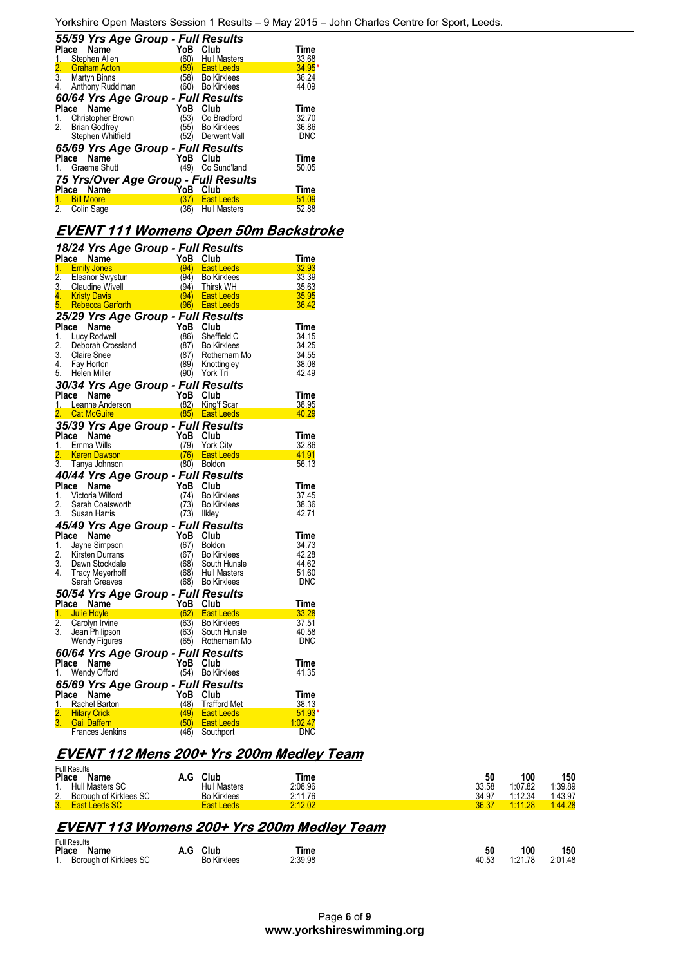|       | 55/59 Yrs Age Group - Full Results   |             |                     |            |
|-------|--------------------------------------|-------------|---------------------|------------|
|       | Place Name                           | YoB         | Club                | Time       |
| 1.    | Stephen Allen                        | (60         | <b>Hull Masters</b> | 33.68      |
| 2.    | <b>Graham Acton</b>                  | 59)         | <b>East Leeds</b>   | $34.95*$   |
| 3.    | <b>Martyn Binns</b>                  | $\sqrt{58}$ | <b>Bo Kirklees</b>  | 36.24      |
| 4.    | Anthony Ruddiman                     | (60)        | <b>Bo Kirklees</b>  | 44.09      |
|       | 60/64 Yrs Age Group - Full Results   |             |                     |            |
|       | Place Name                           | YoB         | Club                | Time       |
|       | 1. Christopher Brown                 | (53)        | Co Bradford         | 32.70      |
| 2.    | <b>Brian Godfrey</b>                 | 55)         | <b>Bo Kirklees</b>  | 36.86      |
|       | Stephen Whitfield                    | (52)        | Derwent Vall        | <b>DNC</b> |
|       | 65/69 Yrs Age Group - Full Results   |             |                     |            |
| Place | Name                                 | YoB         | Club                | Time       |
|       | 1. Graeme Shutt                      | (49)        | Co Sund'land        | 50.05      |
|       | 75 Yrs/Over Age Group - Full Results |             |                     |            |
|       | Name<br>Place                        | YoB         | Club                | Time       |
| 1.    | <b>Bill Moore</b>                    | 37)         | <b>East Leeds</b>   | 51.09      |
| 2.    | Colin Sage                           | (36)        | <b>Hull Masters</b> | 52.88      |

#### **EVENT 111 Womens Open 50m Backstroke**

|                        | 18/24 Yrs Age Group - Full Results         |              |                                        |                     |
|------------------------|--------------------------------------------|--------------|----------------------------------------|---------------------|
|                        | Place Name                                 | YoB Club     |                                        | Time                |
| 1 <sup>1</sup>         | <b>Emily Jones</b>                         | (94)         | <b>East Leeds</b>                      | 32.93               |
| $\overline{2}$ .       | Eleanor Swystun                            | (94)         | <b>Bo Kirklees</b>                     | 33.39               |
| 3.                     | Claudine Wivell                            | (94)         | Thirsk WH                              | 35.63               |
| 4.<br>5.               | <b>Kristy Davis</b>                        |              | (94) East Leeds                        | 35.95               |
|                        | <b>Rebecca Garforth</b>                    |              | (96) East Leeds                        | 36.42               |
|                        | 25/29 Yrs Age Group - Full Results         |              |                                        |                     |
| Place<br>1.            | Name                                       | YoB          | Club<br>Sheffield C                    | Time<br>34.15       |
| 2.                     | Lucy Rodwell<br>Deborah Crossland          | (86)<br>(87) | <b>Bo Kirklees</b>                     | 34.25               |
| 3.                     | Claire Snee                                | (87)         | Rotherham Mo                           | 34.55               |
| 4.                     | Fay Horton                                 | (89)         | Knottingley                            | 38.08               |
|                        | 5. Helen Miller                            |              | (90) York Tri                          | 42.49               |
|                        | 30/34 Yrs Age Group - Full Results         |              |                                        |                     |
| Place                  | Name                                       | YoB          | Club                                   | Time                |
|                        | 1. Leanne Anderson                         | (82)         | King'f Scar                            | 38.95               |
|                        | 2. Cat McGuire                             |              | (85) East Leeds                        | <u>40.29</u>        |
|                        | 35/39 Yrs Age Group - Full Results         |              |                                        |                     |
| Place                  | <b>Name</b>                                | YoB          | Club                                   | Time                |
|                        | 1. Emma Wills                              | (79)         | <b>York City</b>                       | 32.86               |
| 2.                     | <b>Karen Dawson</b>                        | (76)         | <b>East Leeds</b>                      | 41.91               |
| $\overline{3}$ .       | Tanya Johnson                              |              | $(80)$ Boldon                          | 56.13               |
|                        | 40/44 Yrs Age Group - Full Results         |              |                                        |                     |
| Place                  | Name                                       | YoB          | Club                                   | Time                |
| 1.                     | Victoria Wilford                           | (74)         | <b>Bo Kirklees</b>                     | 37.45               |
| 2.                     | Sarah Coatsworth                           | 73)          | <b>Bo Kirklees</b>                     | 38.36               |
| 3.                     | Susan Harris                               | (73) Ilkley  |                                        | 42.71               |
|                        | 45/49 Yrs Age Group - Full Results         |              |                                        |                     |
| Place                  | Name                                       | YoB          | Club                                   | Time                |
| 1.                     | Jayne Simpson                              | (67)         | Boldon                                 | 34.73               |
| 2.                     | Kirsten Durrans                            | 67)          | <b>Bo Kirklees</b>                     | 42.28               |
| 3.                     | Dawn Stockdale                             | (68)         | South Hunsle                           | 44.62               |
| 4                      | <b>Tracy Meyerhoff</b>                     | (68)         | <b>Hull Masters</b>                    | 51.60               |
|                        | Sarah Greaves                              | (68)         | <b>Bo Kirklees</b>                     | <b>DNC</b>          |
|                        | 50/54 Yrs Age Group - Full Results         |              |                                        |                     |
|                        | Place Name                                 | YoB Club     |                                        | Time                |
| $\overline{2}$ .       |                                            |              |                                        | 33.28               |
|                        | 1. Julie Hoyle                             | (62)         | <b>East Leeds</b>                      |                     |
|                        | Carolyn Irvine                             | (63)         | <b>Bo Kirklees</b>                     | 37.51               |
| 3.                     | Jean Philipson                             | (63)         | South Hunsle                           | 40.58               |
|                        | Wendy Figures                              | (65)         | Rotherham Mo                           | DNC                 |
|                        | 60/64 Yrs Age Group - Full Results         |              |                                        |                     |
|                        | Place Name                                 | YoB Club     |                                        | Time                |
| 1.                     | Wendy Offord                               |              | (54) Bo Kirklees                       | 41.35               |
|                        | 65/69 Yrs Age Group - Full Results         |              |                                        |                     |
| Place                  | Name                                       | YoB          | Club                                   | Time                |
|                        | 1. Rachel Barton                           | (48)         | Trafford Met                           | 38.13               |
| 2.<br>$\overline{3}$ . | <b>Hilary Crick</b><br><b>Gail Daffern</b> | (49)<br>50)  | <b>East Leeds</b><br><b>East Leeds</b> | $51.93*$<br>1:02.47 |

# **EVENT 112 Mens 200+ Yrs 200m Medley Team**

|                                                   | <b>Full Results</b>           |     |                     |         |       |               |               |  |  |  |
|---------------------------------------------------|-------------------------------|-----|---------------------|---------|-------|---------------|---------------|--|--|--|
| <b>Place</b>                                      | Name                          | A.G | Club                | Time    | 50    | 100           | 150           |  |  |  |
|                                                   | 1. Hull Masters SC            |     | <b>Hull Masters</b> | 2:08.96 | 33.58 | 1:07.82       | 1:39.89       |  |  |  |
|                                                   | 2. Borough of Kirklees SC     |     | <b>Bo Kirklees</b>  | 2:11.76 | 34.97 | 1:12.34       | 1:43.97       |  |  |  |
|                                                   | 3. East Leeds SC              |     | East Leeds          | 2:12.02 | 36.37 | 1:11.28       | 1:44.28       |  |  |  |
|                                                   |                               |     |                     |         |       |               |               |  |  |  |
| <b>EVENT 113 Womens 200+ Yrs 200m Medley Team</b> |                               |     |                     |         |       |               |               |  |  |  |
| --                                                | <b>Full Results</b><br>$\sim$ |     | .                   |         | --    | $\sim$ $\sim$ | $\sim$ $\sim$ |  |  |  |

| י שווי שטעוני<br>Place | Name                   | A.G | Club               | Time    | 50    | 100     | 150     |
|------------------------|------------------------|-----|--------------------|---------|-------|---------|---------|
| 1.                     | Borough of Kirklees SC |     | <b>Bo Kirklees</b> | 2:39.98 | 40.53 | 1:21.78 | 2:01.48 |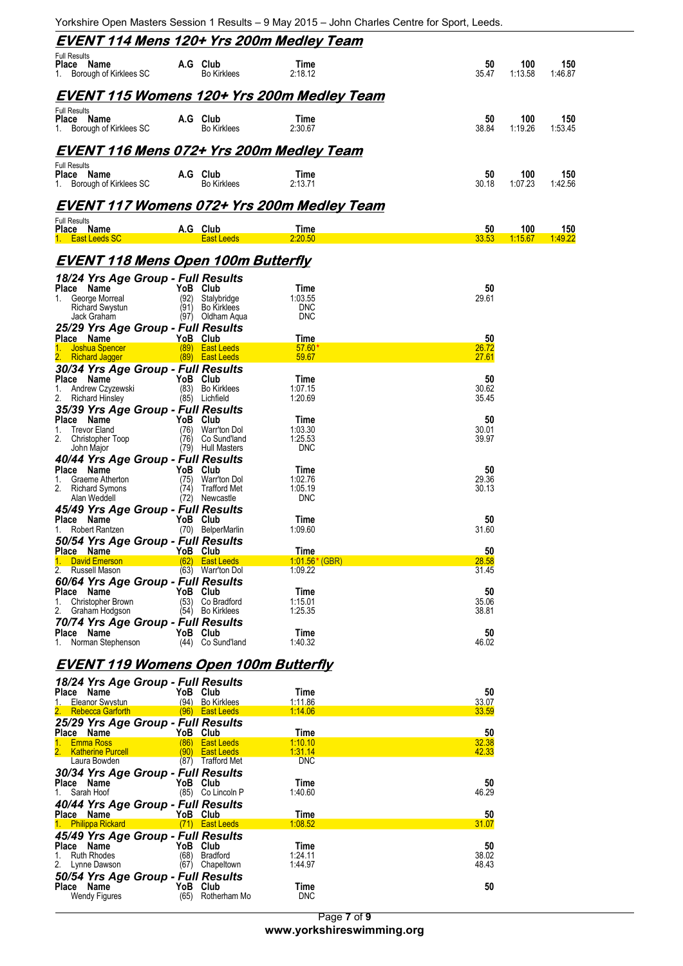Yorkshire Open Masters Session 1 Results – 9 May 2015 – John Charles Centre for Sport, Leeds.

|                                                                                                                          |                      |                                                                    | <u>EVENT 114 Mens 120+ Yrs 200m Medley Team</u>   |                      |                       |                |
|--------------------------------------------------------------------------------------------------------------------------|----------------------|--------------------------------------------------------------------|---------------------------------------------------|----------------------|-----------------------|----------------|
| <b>Full Results</b><br>Place Name<br>1. Borough of Kirklees SC                                                           |                      | A.G Club<br><b>Bo Kirklees</b>                                     | Time<br>2:18.12                                   | 50<br>35.47          | 100<br>1:13.58        | 150<br>1:46.87 |
|                                                                                                                          |                      |                                                                    | EVENT 115 Womens 120+ Yrs 200m Medley Team        |                      |                       |                |
| <b>Full Results</b><br>Place Name<br>1. Borough of Kirklees SC                                                           |                      | A.G Club<br><b>Bo Kirklees</b>                                     | Time<br>2:30.67                                   | 50<br>38.84          | 100<br>1:19.26        | 150<br>1:53.45 |
|                                                                                                                          |                      |                                                                    | <b>EVENT 116 Mens 072+ Yrs 200m Medley Team</b>   |                      |                       |                |
| <b>Full Results</b><br>Place Name<br>1. Borough of Kirklees SC                                                           |                      | A.G Club<br><b>Bo Kirklees</b>                                     | Time<br>2:13.71                                   | 50<br>30.18          | 100<br>1:07.23        | 150<br>1:42.56 |
|                                                                                                                          |                      |                                                                    | <u>EVENT 117 Womens 072+ Yrs 200m Medley Team</u> |                      |                       |                |
| <b>Full Results</b><br>Place Name<br>1. East Leeds SC                                                                    |                      | A.G Club<br><b>East Leeds</b>                                      | Time<br>2:20.50                                   | 50<br>33.53          | 100<br><u>1:15.67</u> | 150<br>1:49.22 |
| <u>EVENT 118 Mens Open 100m Butterfly</u>                                                                                |                      |                                                                    |                                                   |                      |                       |                |
| 18/24 Yrs Age Group - Full Results                                                                                       |                      |                                                                    |                                                   |                      |                       |                |
| Place Name<br>George Morreal<br>1.<br><b>Richard Swystun</b><br>Jack Graham                                              | (92)<br>(91)         | YoB Club<br>Stalvbridge<br><b>Bo Kirklees</b><br>(97) Oldham Aqua  | Time<br>1:03.55<br><b>DNC</b><br><b>DNC</b>       | 50<br>29.61          |                       |                |
| 25/29 Yrs Age Group - Full Results<br>Place Name                                                                         |                      | YoB Club                                                           | <u>Time</u>                                       | 50                   |                       |                |
| Joshua Spencer<br>1.<br>Richard Jagger                                                                                   |                      | (89) East Leeds<br>(89) East Leeds                                 | $57.60*$<br>59.67                                 | 26.72<br>27.61       |                       |                |
| 30/34 Yrs Age Group - Full Results<br>Place Name<br>Andrew Czyzewski<br>1.<br>2. Richard Hinsley                         |                      | YoB Club<br>(83) Bo Kirklees<br>(85) Lichfield                     | Time<br>1:07.15<br>1:20.69                        | 50<br>30.62<br>35.45 |                       |                |
| 35/39 Yrs Age Group - Full Results<br>Place Name<br><b>Trevor Eland</b><br>1.<br>2. Christopher Toop<br>John Major       | (76)                 | YoB Club<br>(76) Warr'ton Dol<br>Co Sund'Iand<br>(79) Hull Masters | Time<br>1:03.30<br>1:25.53<br><b>DNC</b>          | 50<br>30.01<br>39.97 |                       |                |
| 40/44 Yrs Age Group - Full Results<br>Place Name<br>Graeme Atherton<br>1.<br><b>Richard Symons</b><br>2.<br>Alan Weddell | (75)<br>(74)<br>(72) | YoB Club<br>Warr'ton Dol<br><b>Trafford Met</b><br>Newcastle       | Time<br>1:02.76<br>1:05.19<br><b>DNC</b>          | 50<br>29.36<br>30.13 |                       |                |
| 45/49 Yrs Age Group - Full Results<br>Place Name<br>Robert Rantzen<br>1.                                                 |                      | YoB Club<br>(70) BelperMarlin                                      | Time<br>1:09.60                                   | 50<br>31.60          |                       |                |
| 50/54 Yrs Age Group - Full Results<br>Place Name                                                                         |                      | YoB Club                                                           | Time                                              | 50                   |                       |                |
| <b>David Emerson</b><br>2. Russell Mason                                                                                 |                      | (62) East Leeds<br>(63) Warr'ton Dol                               | $1:01.56*(GBR)$<br>1:09.22                        | 28.58<br>31.45       |                       |                |
| 60/64 Yrs Age Group - Full Results<br>Place Name<br>1. Christopher Brown<br>2. Graham Hodgson                            |                      | YoB Club<br>(53) Co Bradford<br>(54) Bo Kirklees                   | Time<br>1:15.01<br>1:25.35                        | 50<br>35.06<br>38.81 |                       |                |
| 70/74 Yrs Age Group - Full Results<br>Place Name<br>1. Norman Stephenson                                                 |                      | YoB Club<br>(44) Co Sund'land                                      | Time<br>1:40.32                                   | 50<br>46.02          |                       |                |
| <b>EVENT 119 Womens Open 100m Butterfly</b>                                                                              |                      |                                                                    |                                                   |                      |                       |                |
| 18/24 Yrs Age Group - Full Results                                                                                       |                      |                                                                    |                                                   |                      |                       |                |
| Place Name<br>1. Eleanor Swystun                                                                                         |                      | YoB Club<br>(94) Bo Kirklees                                       | Time<br>1:11.86                                   | 50<br>33.07          |                       |                |
| 2. Rebecca Garforth<br>25/29 Yrs Age Group - Full Results                                                                |                      | (96) East Leeds                                                    | 1:14.06                                           | <u>33.59</u>         |                       |                |
| Place Name<br><b>Emma Ross</b>                                                                                           |                      | YoB Club<br>(86) East Leeds                                        | Time<br><u>1:10.10</u>                            | 50<br>32.38          |                       |                |
| 2. Katherine Purcell<br>Laura Bowden                                                                                     |                      | (90) East Leeds<br>(87) Trafford Met                               | 1.31.14<br><b>DNC</b>                             | 42.33                |                       |                |
| 30/34 Yrs Age Group - Full Results<br>Place Name<br>Sarah Hoof<br>1.                                                     |                      | YoB Club<br>(85) Co Lincoln P                                      | Time<br>1:40.60                                   | 50<br>46.29          |                       |                |
| 40/44 Yrs Age Group - Full Results<br>Place Name                                                                         |                      | YoB Club                                                           | Time                                              | 50                   |                       |                |
| 1. Philippa Rickard                                                                                                      |                      | (71) East Leeds                                                    | 1.08.52                                           | 31.07                |                       |                |
| 45/49 Yrs Age Group - Full Results<br>Place Name<br>1. Ruth Rhodes<br>2. Lynne Dawson                                    |                      | YoB Club<br>(68) Bradford<br>(67) Chapeltown                       | Time<br>1:24.11<br>1:44.97                        | 50<br>38.02<br>48.43 |                       |                |
| 50/54 Yrs Age Group - Full Results<br>Place Name                                                                         |                      | YoB Club                                                           | <b>Time</b>                                       | 50                   |                       |                |

Wendy Figures (65) Rotherham Mo DNC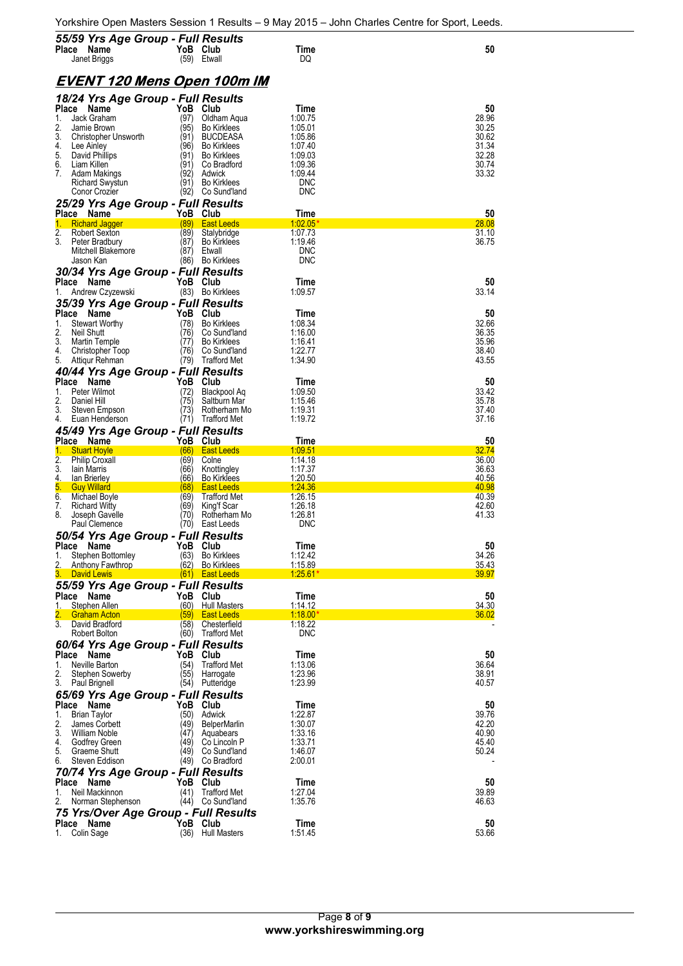| 55/59 Yrs Age Group - Full Results<br>Place Name                       | YoB Club         |                                          | Time                     | 50                    |
|------------------------------------------------------------------------|------------------|------------------------------------------|--------------------------|-----------------------|
| Janet Briggs                                                           |                  | (59) Etwall                              | DQ                       |                       |
| <u>EVENT 120 Mens Open 100m IM</u>                                     |                  |                                          |                          |                       |
| 18/24 Yrs Age Group - Full Results<br>Place Name                       | YoB              |                                          | Time                     |                       |
| 1.<br>Jack Graham                                                      | (97)             | <b>Club</b><br>Oldham Aqua               | 1:00.75                  | 50<br>28.96           |
| 2.<br>Jamie Brown<br>3.<br><b>Christopher Unsworth</b>                 | (95)<br>(91)     | <b>Bo Kirklees</b><br><b>BUCDEASA</b>    | 1:05.01<br>1:05.86       | 30.25<br>30.62        |
| 4.<br>Lee Ainley                                                       | (96)             | <b>Bo Kirklees</b>                       | 1:07.40                  | 31.34                 |
| 5.<br>David Phillips<br>6.<br>Liam Killen                              | (91)<br>(91)     | <b>Bo Kirklees</b><br>Co Bradford        | 1:09.03<br>1:09.36       | 32.28<br>30.74        |
| 7.<br>Adam Makings                                                     | (92)             | Adwick                                   | 1:09.44                  | 33.32                 |
| <b>Richard Swystun</b><br>Conor Crozier                                | (91)             | <b>Bo Kirklees</b><br>(92) Co Sund'land  | <b>DNC</b><br><b>DNC</b> |                       |
| 25/29 Yrs Age Group - Full Results                                     |                  |                                          |                          |                       |
| Place Name<br><b>Richard Jagger</b><br>1.                              | YoB Club<br>(89) | <b>East Leeds</b>                        | Time<br>1:02.05          | 50<br>28.08           |
| 2.<br>Robert Sexton                                                    | (89)             | Stalybridge                              | 1:07.73                  | 31.10                 |
| 3.<br>Peter Bradbury<br>Mitchell Blakemore                             | (87)<br>(87)     | <b>Bo Kirklees</b><br>Etwall             | 1:19.46<br><b>DNC</b>    | 36.75                 |
| Jason Kan                                                              |                  | (86) Bo Kirklees                         | <b>DNC</b>               |                       |
| 30/34 Yrs Age Group - Full Results                                     |                  |                                          |                          |                       |
| Place Name<br>Andrew Czyzewski<br>1.                                   | YoB Club         | (83) Bo Kirklees                         | Time<br>1:09.57          | 50<br>33.14           |
| 35/39 Yrs Age Group - Full Results                                     |                  |                                          |                          |                       |
| Place Name<br>1.<br><b>Stewart Worthy</b>                              | YoB<br>(78)      | Club<br><b>Bo Kirklees</b>               | Time<br>1:08.34          | 50<br>32.66           |
| 2.<br><b>Neil Shutt</b>                                                | (76)             | Co Sund'land                             | 1:16.00                  | 36.35                 |
| 3.<br>Martin Temple<br>4.                                              | (77)<br>(76)     | <b>Bo Kirklees</b><br>Co Sund'land       | 1:16.41<br>1:22.77       | 35.96<br>38.40        |
| Christopher Toop<br>5.<br>Attiqur Rehman                               | (79)             | <b>Trafford Met</b>                      | 1:34.90                  | 43.55                 |
| 40/44 Yrs Age Group - Full Results                                     |                  |                                          |                          |                       |
| Place Name<br>1.<br>Peter Wilmot                                       | YoB<br>(72)      | Club<br>Blackpool Aq                     | Time<br>1:09.50          | 50<br>33.42           |
| 2.<br>Daniel Hill                                                      | (75)             | Saltburn Mar                             | 1:15.46                  | 35.78                 |
| 3.<br>Steven Empson<br>4.<br>Euan Henderson                            | (73)             | Rotherham Mo<br>(71) Trafford Met        | 1:19.31<br>1:19.72       | 37.40<br>37.16        |
| 45/49 Yrs Age Group - Full Results                                     |                  |                                          |                          |                       |
| Place Name                                                             | YoB Club         |                                          | Time                     | 50                    |
|                                                                        |                  |                                          |                          |                       |
| 1.<br><b>Stuart Hoyle</b><br>2.<br><b>Philip Croxall</b>               | (66)<br>(69)     | <b>East Leeds</b><br>Colne               | 1:09.51<br>1:14.18       | 32.74<br>36.00        |
| 3.<br>lain Marris                                                      | (66)             | Knottingley                              | 1:17.37                  | 36.63                 |
| 4.<br><b>lan Brierley</b><br>5.<br><b>Guy Willard</b>                  | (66)<br>(68)     | <b>Bo Kirklees</b><br><b>East Leeds</b>  | 1:20.50<br>1:24.36       | 40.56<br>40.98        |
| 6.<br>Michael Boyle                                                    | (69)             | Trafford Met                             | 1:26.15                  | 40.39                 |
| 7.<br><b>Richard Witty</b><br>8.<br>Joseph Gavelle                     | (69)<br>(70)     | King'f Scar<br>Rotherham Mo              | 1:26.18<br>1:26.81       | 42.60<br>41.33        |
| Paul Clemence                                                          | (70)             | East Leeds                               | <b>DNC</b>               |                       |
| 50/54 Yrs Age Group - Full Results                                     |                  |                                          |                          |                       |
| Place<br>Name<br>1.<br>Stephen Bottomley                               | ۲оВ<br>(63)      | Club<br><b>Bo Kirklees</b>               | Time<br>1:12.42          | 50<br>34.26           |
| 2.<br><b>Anthony Fawthrop</b>                                          | (62)             | <b>Bo Kirklees</b>                       | <u>1:15.89</u>           | <u>35.43</u><br>39.97 |
| З.<br><b>David Lewis</b><br>55/59 Yrs Age Group - Full Results         | (61)             | <b>East Leeds</b>                        | <u>1:25.61*</u>          |                       |
| Place Name                                                             | YoB              | Club                                     | Time                     | 50                    |
| 1.<br>Stephen Allen<br>2.<br><b>Graham Acton</b>                       | (60)<br>(59)     | <b>Hull Masters</b><br><b>East Leeds</b> | 1:14.12<br>1:18.00       | 34.30<br>36.02        |
| 3.<br>David Bradford                                                   | (58)             | Chesterfield                             | 1:18.22                  |                       |
| Robert Bolton                                                          | (60)             | Trafford Met                             | <b>DNC</b>               |                       |
| 60/64 Yrs Age Group - Full Results<br>Place Name                       | YoB              | Club                                     | Time                     | 50                    |
| Neville Barton<br>1.                                                   | (54)             | <b>Trafford Met</b>                      | 1:13.06                  | 36.64                 |
| 2.<br>Stephen Sowerby<br>3.<br>Paul Brignell                           | (55)<br>(54)     | Harrogate<br>Putteridge                  | 1:23.96<br>1:23.99       | 38.91<br>40.57        |
| 65/69 Yrs Age Group - Full Results                                     |                  |                                          |                          |                       |
| Place Name<br><b>Brian Taylor</b><br>1.                                | YoB<br>(50)      | Club<br>Adwick                           | Time<br>1:22.87          | 50<br>39.76           |
| 2.<br>James Corbett                                                    | (49)             | <b>BelperMarlin</b>                      | 1:30.07                  | 42.20                 |
| 3.<br><b>William Noble</b><br>4.<br>Godfrey Green                      | (47)<br>(49)     | Aquabears<br>Co Lincoln P                | 1:33.16<br>1:33.71       | 40.90<br>45.40        |
| 5.<br>Graeme Shutt                                                     | (49)             | Co Sund'land                             | 1:46.07                  | 50.24                 |
| 6.<br>Steven Eddison                                                   | (49)             | Co Bradford                              | 2:00.01                  |                       |
| 70/74 Yrs Age Group - Full Results<br>Place Name                       | YoB              | Club                                     | Time                     | 50                    |
| Neil Mackinnon<br>1.                                                   | (41)             | <b>Trafford Met</b>                      | 1:27.04                  | 39.89                 |
| 2.<br>Norman Stephenson                                                | (44)             | Co Sund'land                             | 1:35.76                  | 46.63                 |
| 75 Yrs/Over Age Group - Full Results<br>Place Name<br>Colin Sage<br>1. | YoB<br>(36)      | Club<br><b>Hull Masters</b>              | Time<br>1:51.45          | 50<br>53.66           |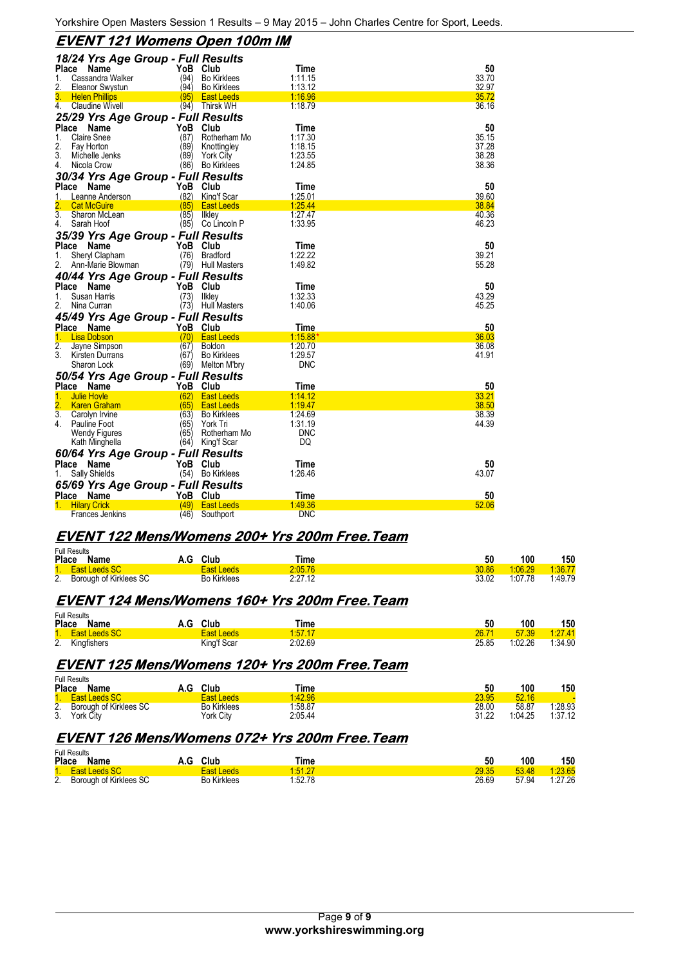### **EVENT 121 Womens Open 100m IM**

|                                   | 18/24 Yrs Age Group - Full Results |                     |            |       |
|-----------------------------------|------------------------------------|---------------------|------------|-------|
| Place<br>Name                     | YoB                                | Club                | Time       | 50    |
| Cassandra Walker<br>1.            | (94)                               | <b>Bo Kirklees</b>  | 1:11.15    | 33.70 |
| 2.<br><b>Eleanor Swystun</b>      | (94)                               | <b>Bo Kirklees</b>  | 1:13.12    | 32.97 |
| 3.<br><b>Helen Phillips</b>       | (95)                               | <b>East Leeds</b>   | 1:16.96    | 35.72 |
| 4. Claudine Wivell                | (94)                               | Thirsk WH           | 1:18.79    | 36.16 |
|                                   | 25/29 Yrs Age Group - Full Results |                     |            |       |
| Place<br>Name                     | YoB                                | Club                | Time       | 50    |
| 1.<br><b>Claire Snee</b>          | (87)                               | Rotherham Mo        | 1:17.30    | 35.15 |
| 2.<br>Fay Horton                  | (89)                               | Knottingley         | 1:18.15    | 37.28 |
| 3.<br>Michelle Jenks              | (89)                               | <b>York City</b>    | 1:23.55    | 38.28 |
| 4.<br>Nicola Crow                 | (86)                               | <b>Bo Kirklees</b>  | 1:24.85    | 38.36 |
|                                   |                                    |                     |            |       |
|                                   | 30/34 Yrs Age Group - Full Results |                     |            |       |
| Place<br>Name                     | YoB                                | Club                | Time       | 50    |
| Leanne Anderson<br>1.             | (82)                               | King'f Scar         | 1:25.01    | 39.60 |
| <b>Cat McGuire</b>                | (85)                               | <b>East Leeds</b>   | 1:25.44    | 38.84 |
| $\overline{3}$ .<br>Sharon McLean | (85)                               | <b>Ilkley</b>       | 1:27.47    | 40.36 |
| 4.<br>Sarah Hoof                  |                                    | (85) Co Lincoln P   | 1:33.95    | 46.23 |
|                                   | 35/39 Yrs Age Group - Full Results |                     |            |       |
| Place<br>Name                     | YoB                                | Club                | Time       | 50    |
| Sheryl Clapham<br>1.              | (76)                               | <b>Bradford</b>     | 1:22.22    | 39.21 |
| 2.<br>Ann-Marie Blowman           | (79)                               | <b>Hull Masters</b> | 1:49.82    | 55.28 |
|                                   | 40/44 Yrs Age Group - Full Results |                     |            |       |
|                                   |                                    |                     |            | 50    |
| Place Name                        | YoB                                | Club                | Time       |       |
| 1.<br>Susan Harris                | (73)                               | Ilkley              | 1:32.33    | 43.29 |
| 2.<br>Nina Curran                 | (73)                               | <b>Hull Masters</b> | 1:40.06    | 45.25 |
|                                   | 45/49 Yrs Age Group - Full Results |                     |            |       |
| Place Name                        |                                    | YoB Club            | Time       | 50    |
| 1.<br><b>Lisa Dobson</b>          | (70)                               | <b>East Leeds</b>   | $1:15.88*$ | 36.03 |
| $\overline{2}$ .<br>Jayne Simpson | (67)                               | <b>Boldon</b>       | 1:20.70    | 36.08 |
| 3.<br>Kirsten Durrans             | (67)                               | <b>Bo Kirklees</b>  | 1:29.57    | 41.91 |
| Sharon Lock                       | (69)                               | Melton M'bry        | DNC        |       |
|                                   | 50/54 Yrs Age Group - Full Results |                     |            |       |
| Place Name                        |                                    | YoB Club            | Time       | 50    |
| 1.<br><b>Julie Hovle</b>          | (62)                               | <b>East Leeds</b>   | 1:14.12    | 33.21 |
| $\overline{2}$ .<br>Karen Graham  | (65)                               | <b>East Leeds</b>   | 1:19.47    | 38.50 |
| 3.<br>Carolyn Irvine              | (63)                               | <b>Bo Kirklees</b>  | 1:24.69    | 38.39 |
| 4.<br>Pauline Foot                | (65)                               | York Tri            | 1:31.19    | 44.39 |
| Wendy Figures                     | (65)                               | Rotherham Mo        | <b>DNC</b> |       |
| Kath Minghella                    | (64)                               | King'f Scar         | DQ         |       |
|                                   |                                    |                     |            |       |
|                                   | 60/64 Yrs Age Group - Full Results |                     |            |       |
| Place Name                        |                                    | YoB Club            | Time       | 50    |
| Sally Shields                     |                                    | (54) Bo Kirklees    | 1:26.46    | 43.07 |
|                                   | 65/69 Yrs Age Group - Full Results |                     |            |       |
| Place Name                        | YoB                                | Club                | Time       | 50    |
| <b>Hilary Crick</b>               | (49)                               | <b>East Leeds</b>   | 1:49.36    | 52.06 |
| Frances Jenkins                   | (46)                               | Southport           | DNC        |       |

## EVENT 122 Mens/Womens 200+ Yrs 200m Free. Team

| Full Results              |                    |         |       |         |         |
|---------------------------|--------------------|---------|-------|---------|---------|
| Place<br>Name             | A.G Club           | Time    | 50    | 100     | 150     |
| 1. East Leeds SC          | East Leeds         | 2:05.76 | 30.86 | 1:06.29 | 1.36.77 |
| 2. Borough of Kirklees SC | <b>Bo Kirklees</b> | 2:27.12 | 33.02 | 1:07.78 | 1:49.79 |

# **EVENT 124 Mens/Womens 160+ Yrs 200m Free. Team**

 $F = F - F$ 

| Place | Full Results<br>Name | A.G | Club              | Time    | 50    | 100     | 150     |
|-------|----------------------|-----|-------------------|---------|-------|---------|---------|
|       | 1. East Leeds SC     |     | <b>East Leeds</b> | 1.57.17 | 26.71 | 57.39   | 1:27.41 |
|       | 2. Kingfishers       |     | King'f Scar       | 2:02.69 | 25.85 | 1:02.26 | 1:34.90 |

#### EVENT 125 Mens/Womens 120+ Yrs 200m Free. Team

| Full Results<br>Place<br>Name       | A.G | Club               | Time    | 50    | 100     | 150     |
|-------------------------------------|-----|--------------------|---------|-------|---------|---------|
| <b>East Leeds SC</b>                |     | East Leeds         | 1:42.96 | 23.95 | 52.16   |         |
| <b>Borough of Kirklees SC</b><br>2. |     | <b>Bo Kirklees</b> | 1:58.87 | 28.00 | 58.87   | 1:28.93 |
| 3.<br>York City                     |     | York Citv          | 2:05.44 | 31.22 | 1:04.25 | 1:37.12 |

### **EVENT 126 Mens/Womens 072+ Yrs 200m Free. Team**

|       | <b>Full Results</b>       |                    |         |       |       |         |
|-------|---------------------------|--------------------|---------|-------|-------|---------|
| Place | Name                      | Club<br>A.G        | Time    | 50    | 100   | 150     |
|       | 1. East Leeds SC          | <b>East Leeds</b>  | 1:51.27 | 29.35 | 53.48 | 1:23.65 |
|       | 2. Borough of Kirklees SC | <b>Bo Kirklees</b> | 1:52.78 | 26.69 | 57.94 | 1:27.26 |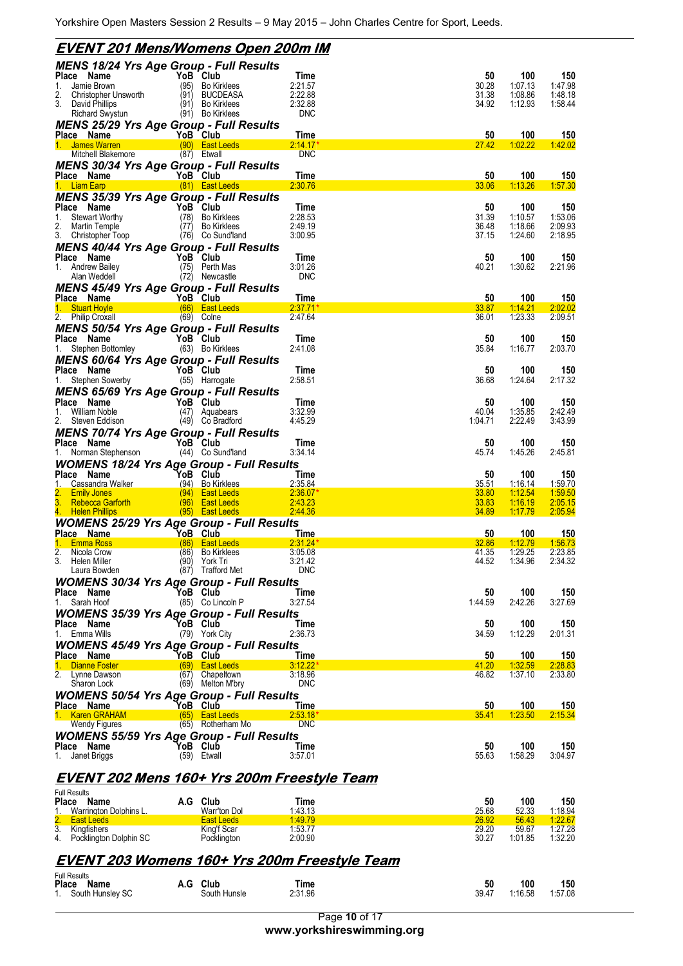| <u>EVENT 201 Mens/Womens Open 200m IM</u>                                     |      |                                       |                         |                       |                           |                           |
|-------------------------------------------------------------------------------|------|---------------------------------------|-------------------------|-----------------------|---------------------------|---------------------------|
| <b>MENS 18/24 Yrs Age Group - Full Results</b>                                |      |                                       |                         |                       |                           |                           |
| Place Name<br>Jamie Brown<br>1.                                               | (95) | YoB Club<br>Bo Kirklees               | Time<br>2:21.57         | 50<br>30.28           | 100<br>1:07.13            | 150<br>1:47.98            |
| 2.<br>Christopher Unsworth                                                    |      | (91) BUCDEASA                         | 2:22.88                 | 31.38                 | 1:08.86                   | 1:48.18                   |
| 3.<br>David Phillips<br><b>Richard Swystun</b>                                |      | (91) Bo Kirklees<br>(91) Bo Kirklees  | 2:32.88<br><b>DNC</b>   | 34.92                 | 1:12.93                   | 1:58.44                   |
| <b>MENS 25/29 Yrs Age Group - Full Results</b>                                |      |                                       |                         |                       |                           |                           |
| YoB Club<br>Place Name<br>1. James Warren                                     |      | (90) East Leeds                       | Time<br>2:14.17         | 50<br>27.42           | 100<br>1:02.22            | 150<br>1:42.02            |
| Mitchell Blakemore                                                            |      | (87) Etwall                           | <b>DNC</b>              |                       |                           |                           |
| <b>MENS 30/34 Yrs Age Group - Full Results</b>                                |      |                                       |                         |                       |                           |                           |
| YoB Club<br>Place Name<br>1. Liam Earp<br><b>Example 2018</b> (81) East Leeds |      |                                       | Time<br>2:30.76         | 50<br>33.06           | 100<br>1:13.26            | 150<br>1:57.30            |
| <b>MENS 35/39 Yrs Age Group - Full Results</b>                                |      |                                       |                         |                       |                           |                           |
| Place Name<br>$\sim$<br><b>Stewart Worthy</b><br>1.                           |      | YoB Club<br>(78) Bo Kirklees          | Time<br>2:28.53         | 50<br>31.39           | 100<br>1:10.57            | 150<br>1:53.06            |
| 2.<br>Martin Temple                                                           |      | (77) Bo Kirklees                      | 2:49.19                 | 36.48                 | 1:18.66                   | 2:09.93                   |
| 3. Christopher Toop<br><b>MENS 40/44 Yrs Age Group - Full Results</b>         |      | (76) Co Sund'land                     | 3:00.95                 | 37.15                 | 1:24.60                   | 2:18.95                   |
| Place Name                                                                    |      | YoB Club                              | Time                    | 50                    | 100                       | 150                       |
| <b>Andrew Bailey</b><br>1.<br>Alan Weddell                                    |      | (75) Perth Mas<br>(72) Newcastle      | 3:01.26<br><b>DNC</b>   | 40.21                 | 1:30.62                   | 2:21.96                   |
| <b>MENS 45/49 Yrs Age Group - Full Results</b>                                |      |                                       |                         |                       |                           |                           |
|                                                                               |      | YoB Club                              | <b>Time</b><br>2:37.71' | 50                    | 100                       | 150                       |
| riace Name<br>1. Stuart Hoyle<br>2. Philip Croxall<br><b>Afficient</b>        |      | (66) East Leeds<br>$(69)$ Colne       | 2:47.64                 | 33.87<br>36.01        | 1:14.21<br>1:23.33        | 2:02.02<br>2:09.51        |
| <b>MENS 50/54 Yrs Age Group - Full Results</b>                                |      |                                       |                         |                       |                           |                           |
| Place Name<br><b>Place Name</b><br>1. Stephen Bottomley                       |      | YoB Club<br>(63) Bo Kirklees          | Time<br>2:41.08         | 50<br>35.84           | 100<br>1:16.77            | 150<br>2:03.70            |
| MENS 60/64 Yrs Age Group - Full Results                                       |      |                                       |                         |                       |                           |                           |
| Place Name<br>1.<br>Stephen Sowerby                                           |      | YoB Club<br>(55) Harrogate            | Time<br>2:58.51         | 50<br>36.68           | 100<br>1:24.64            | 150<br>2:17.32            |
| <b>MENS 65/69 Yrs Age Group - Full Results</b>                                |      |                                       |                         |                       |                           |                           |
| Place Name                                                                    |      | YoB Club                              | Time                    | 50                    | 100                       | 150                       |
| 1.<br>William Noble<br>2.<br>Steven Eddison                                   |      | (47) Aquabears<br>(49) Co Bradford    | 3:32.99<br>4:45.29      | 40.04<br>1:04.71      | 1:35.85<br>2:22.49        | 2:42.49<br>3:43.99        |
| <b>MENS 70/74 Yrs Age Group - Full Results</b>                                |      |                                       |                         |                       |                           |                           |
| Place Name<br>1. Norman Stephenson                                            |      | YoB Club<br>(44) Co Sund'land         | Time<br>3:34.14         | 50<br>45.74           | 100<br>1:45.26            | 150<br>2:45.81            |
| <b>WOMENS 18/24 Yrs Age Group - Full Results</b>                              |      |                                       |                         |                       |                           |                           |
| Place Name                                                                    |      | YoB Club                              | Time                    | 50                    | 100                       | 150                       |
| 1.<br>Cassandra Walker<br>2.<br><b>Emily Jones</b>                            |      | (94) Bo Kirklees<br>(94) East Leeds   | 2:35.84<br>2:36.07'     | <u>35.51</u><br>33.80 | <u>1:16.14</u><br>1:12.54 | <u>1.59.70</u><br>1:59.50 |
| 3. Rebecca Garforth<br>4. Helen Phillips                                      |      | (96) East Leeds<br>(95) East Leeds    | 2:43.23<br>2:44.36      | 33.83<br>34.89        | 1:16.19<br>1:17.79        | 2:05.15<br>2:05.94        |
| <b>WOMENS 25/29 Yrs Age Group - Full Results</b>                              |      |                                       |                         |                       |                           |                           |
| <b>Place Name</b>                                                             |      | YoB Club                              | <b>Time</b>             | 50                    | 100                       | 150                       |
| 1.<br><b>Emma Ross</b><br>2.<br>Nicola Crow                                   | (86) | (86) East Leeds<br><b>Bo Kirklees</b> | 2:31.24'<br>3:05.08     | 32.86<br>41.35        | 1:12.79<br>1:29.25        | 1:56.73<br>2:23.85        |
| 3.<br>Helen Miller<br>Laura Bowden                                            | (90) | York Tri<br>(87) Trafford Met         | 3:21.42<br><b>DNC</b>   | 44.52                 | 1:34.96                   | 2:34.32                   |
| <b>WOMENS 30/34 Yrs Age Group - Full Results</b>                              |      |                                       |                         |                       |                           |                           |
| Place Name                                                                    |      | YoB Club                              | Time                    | 50                    | 100                       | 150                       |
| Sarah Hoof<br>1.<br><b>WOMENS 35/39 Yrs Age Group - Full Results</b>          |      | (85) Co Lincoln P                     | 3:27.54                 | 1:44.59               | 2:42.26                   | 3:27.69                   |
| Place Name                                                                    |      | YoB Club                              | Time                    | 50                    | 100                       | 150                       |
| Emma Wills<br>1.<br><b>WOMENS 45/49 Yrs Age Group - Full Results</b>          |      | (79) York City                        | 2:36.73                 | 34.59                 | 1:12.29                   | 2:01.31                   |
| Place Name                                                                    |      | YoB Club                              | Time                    | 50                    | 100                       | 150                       |
| <b>Dianne Foster</b><br>2. Lynne Dawson                                       |      | (69) East Leeds<br>(67) Chapeltown    | 3:12.22<br>3:18.96      | 41.20<br>46.82        | 1:32.59<br>1:37.10        | 2:28.83<br>2:33.80        |
| Sharon Lock                                                                   |      | (69) Melton M'bry                     | <b>DNC</b>              |                       |                           |                           |
| <b>WOMENS 50/54 Yrs Age Group - Full Results</b><br>Place Name                |      | YoB Club                              |                         | 50                    | 100                       | 150                       |
| 1. Karen GRAHAM                                                               |      | $(65)$ East Leeds                     | Time<br>2:53.18"        | 35.41                 | 1:23.50                   | 2:15.34                   |
| Wendy Figures                                                                 |      | (65) Rotherham Mo                     | <b>DNC</b>              |                       |                           |                           |
| <b>WOMENS 55/59 Yrs Age Group - Full Results</b><br>Place Name                |      | YoB Club                              | Time                    | 50                    | 100                       | 150                       |
| 1.<br>Janet Briggs                                                            |      | (59) Etwall                           | 3:57.01                 | 55.63                 | 1:58.29                   | 3:04.97                   |
| <u>EVENT 202 Mens 160+ Yrs 200m Freestyle Team</u>                            |      |                                       |                         |                       |                           |                           |
| <b>Full Results</b>                                                           |      |                                       |                         |                       |                           |                           |
| Place Name                                                                    |      | A.G Club                              | Time                    | 50                    | 100                       | 150                       |
| 1.<br>Warrington Dolphins L.<br>2.<br><b>East Leeds</b>                       |      | Warr'ton Dol<br><b>East Leeds</b>     | 1:43.13<br>1:49.79      | 25.68<br><u>26.92</u> | 52.33<br>56.43            | <u>1:18.94</u><br>1:22.67 |
| 3. Kingfishers<br>4. Pocklington Dolphin SC                                   |      | King'f Scar<br>Pocklington            | 1:53.77<br>2:00.90      | 29.20<br>30.27        | 59.67<br>1:01.85          | 1:27.28<br>1:32.20        |
|                                                                               |      |                                       |                         |                       |                           |                           |
| EVENT 203 Womens 160+ Yrs 200m Freestyle Team                                 |      |                                       |                         |                       |                           |                           |
| <b>Full Results</b>                                                           |      |                                       |                         |                       |                           |                           |
| Place Name<br>South Hunsley SC<br>1.                                          |      | A.G Club<br>South Hunsle              | Time<br>2:31.96         | 50<br>39.47           | 100<br>1:16.58            | 150<br>1:57.08            |

Page **10** of 17 **www.yorkshireswimming.org**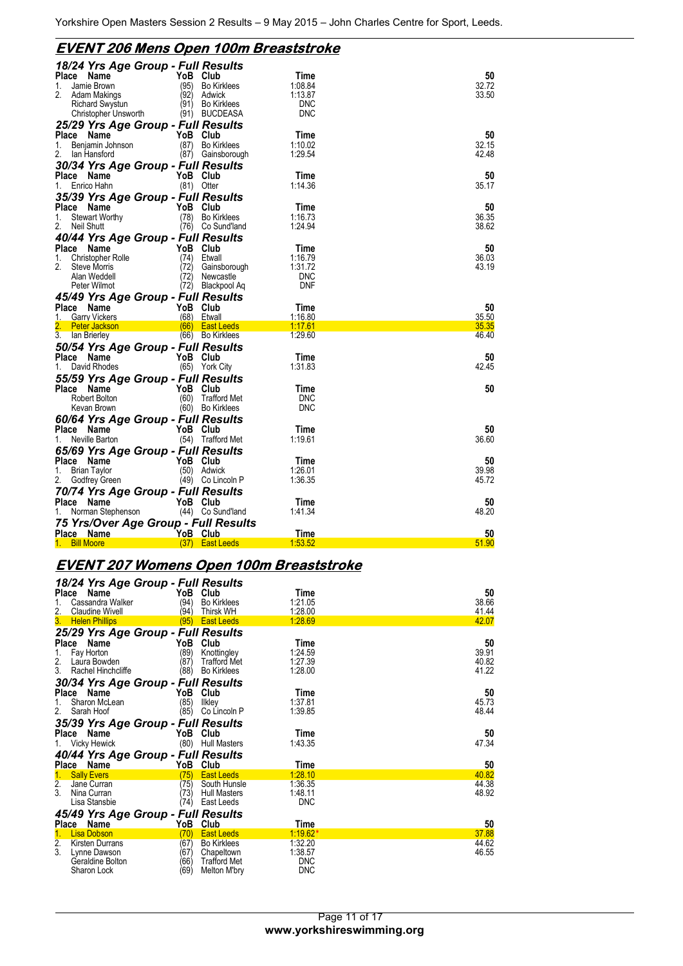# **EVENT 206 Mens Open 100m Breaststroke**

| 18/24 Yrs Age Group - Full Results<br>Place<br>Name<br>Jamie Brown<br>1.<br>2.<br>Adam Makings                     | YoB<br>(95)<br>(92)      | Club<br><b>Bo Kirklees</b><br>Adwick            | Time<br>1:08.84<br>1:13.87       | 50<br>32.72<br>33.50 |
|--------------------------------------------------------------------------------------------------------------------|--------------------------|-------------------------------------------------|----------------------------------|----------------------|
| Richard Swystun<br>Christopher Unsworth<br>25/29 Yrs Age Group - Full Results                                      | (91)                     | <b>Bo Kirklees</b><br>(91) BUCDEASA             | <b>DNC</b><br><b>DNC</b>         |                      |
| Place<br>Name<br>Benjamin Johnson<br>1.<br>2.<br>lan Hansford                                                      | YoB Club<br>(87)         | <b>Bo Kirklees</b><br>(87) Gainsborough         | Time<br>1:10.02<br>1.29.54       | 50<br>32.15<br>42.48 |
| 30/34 Yrs Age Group - Full Results<br>Place Name<br>Enrico Hahn<br>1.                                              | YoB Club                 | $(81)$ Otter                                    | Time<br>1:14.36                  | 50<br>35.17          |
| 35/39 Yrs Age Group - Full Results<br>Place Name<br><b>Stewart Worthy</b><br>1.<br>2.<br>Neil Shutt                | YoB<br>(78)              | Club<br><b>Bo Kirklees</b><br>(76) Co Sund'land | Time<br>1:16.73<br>1:24.94       | 50<br>36.35<br>38.62 |
| 40/44 Yrs Age Group - Full Results<br>Place<br>Name<br><b>Christopher Rolle</b><br>1.<br>2.<br><b>Steve Morris</b> | YoB Club<br>(74)<br>(72) | Etwall<br>Gainsborough                          | Time<br>1:16.79<br>1:31.72       | 50<br>36.03<br>43.19 |
| Alan Weddell<br>Peter Wilmot<br>45/49 Yrs Age Group - Full Results                                                 | (72)                     | Newcastle<br>(72) Blackpool Aq                  | <b>DNC</b><br><b>DNF</b>         |                      |
|                                                                                                                    |                          |                                                 |                                  |                      |
| Place<br>Name<br><b>Garry Vickers</b><br>1.                                                                        | YoB Club                 | (68) Etwall                                     | Time<br>1:16.80                  | 50<br>35.50          |
| <b>Peter Jackson</b>                                                                                               |                          | (66) East Leeds                                 | 1:17.61                          | 35.35                |
| 3.<br>lan Brierley<br>50/54 Yrs Age Group - Full Results<br>Place<br>Name                                          | YoB Club                 | (66) Bo Kirklees                                | 1:29.60<br>Time                  | 46.40<br>50          |
| David Rhodes<br>1.                                                                                                 |                          | (65) York City                                  | 1:31.83                          | 42.45                |
| 55/59 Yrs Age Group - Full Results<br>Place<br>Name<br>Robert Bolton<br>Kevan Brown                                | YoB Club                 | (60) Trafford Met<br>(60) Bo Kirklees           | Time<br><b>DNC</b><br><b>DNC</b> | 50                   |
| 60/64 Yrs Age Group - Full Results<br>Place Name<br>Neville Barton<br>1.                                           | YoB Club                 | (54) Trafford Met                               | Time<br>1:19.61                  | 50<br>36.60          |
|                                                                                                                    |                          |                                                 |                                  |                      |
| 65/69 Yrs Age Group - Full Results<br>Place<br>Name<br>1.<br><b>Brian Taylor</b><br>Godfrey Green                  | YoB Club<br>(50)         | Adwick<br>(49) Co Lincoln P                     | Time<br>1:26.01<br>1:36.35       | 50<br>39.98<br>45.72 |
| 70/74 Yrs Age Group - Full Results<br>Place Name<br>Norman Stephenson<br>1.                                        | YoB Club                 | (44) Co Sund'land                               | Time<br>1:41.34                  | 50<br>48.20          |
| 75 Yrs/Over Age Group - Full Results<br>Place<br>Name                                                              | YoB Club                 |                                                 | Time                             | 50                   |

# **EVENT 207 Womens Open 100m Breaststroke**

| 18/24 Yrs Age Group - Full Results      |                             |             |       |
|-----------------------------------------|-----------------------------|-------------|-------|
| Place<br>Name                           | YoB Club                    | Time        | 50    |
| 1.<br>Cassandra Walker                  | (94)<br><b>Bo Kirklees</b>  | 1:21.05     | 38.66 |
| 2.<br><b>Claudine Wivell</b>            | Thirsk WH<br>(94)           | 1:28.00     | 41.44 |
| 3 <sub>z</sub><br><b>Helen Phillips</b> | (95)<br><b>East Leeds</b>   | 1:28.69     | 42.07 |
| 25/29 Yrs Age Group - Full Results      |                             |             |       |
| <b>Place</b><br><b>Name</b>             | YoB<br>Club                 | Time        | 50    |
| 1.<br>Fay Horton                        | (89)<br>Knottingley         | 1:24.59     | 39.91 |
| 2.<br>Laura Bowden                      | (87)<br><b>Trafford Met</b> | 1:27.39     | 40.82 |
| 3.<br>Rachel Hinchcliffe                | (88)<br><b>Bo Kirklees</b>  | 1:28.00     | 41.22 |
| 30/34 Yrs Age Group - Full Results      |                             |             |       |
| Place Name                              | Club<br>YoB                 | Time        | 50    |
| Sharon McLean<br>1.                     | (85)<br>llkley              | 1:37.81     | 45.73 |
| 2.<br>Sarah Hoof                        | (85)<br>Co Lincoln P        | 1:39.85     | 48.44 |
| 35/39 Yrs Age Group - Full Results      |                             |             |       |
| Place Name                              | YoB<br>Club                 | Time        | 50    |
| <b>Vicky Hewick</b><br>1.               | (80) Hull Masters           | 1:43.35     | 47.34 |
| 40/44 Yrs Age Group - Full Results      |                             |             |       |
| Place Name                              | YoB<br>Club                 | <b>Time</b> | 50    |
| <b>Sally Evers</b>                      | <b>East Leeds</b><br>75)    | 1:28.10     | 40.82 |
| $\overline{2}$ .<br>Jane Curran         | (75)<br>South Hunsle        | 1:36.35     | 44.38 |
| 3.<br>Nina Curran                       | <b>Hull Masters</b><br>(73) | 1:48.11     | 48.92 |
| Lisa Stansbie                           | (74)<br>East Leeds          | <b>DNC</b>  |       |
| 45/49 Yrs Age Group - Full Results      |                             |             |       |
| Place Name                              | YoB Club                    | Time        | 50    |
| <b>Lisa Dobson</b>                      | (70)<br><b>East Leeds</b>   | 1:19.62     | 37.88 |
| 2.<br><b>Kirsten Durrans</b>            | (67)<br><b>Bo Kirklees</b>  | 1:32.20     | 44.62 |
| 3.<br>Lynne Dawson                      | (67)<br>Chapeltown          | 1:38.57     | 46.55 |
| Geraldine Bolton                        | (66)<br><b>Trafford Met</b> | <b>DNC</b>  |       |
| Sharon Lock                             | (69)<br>Melton M'bry        | <b>DNC</b>  |       |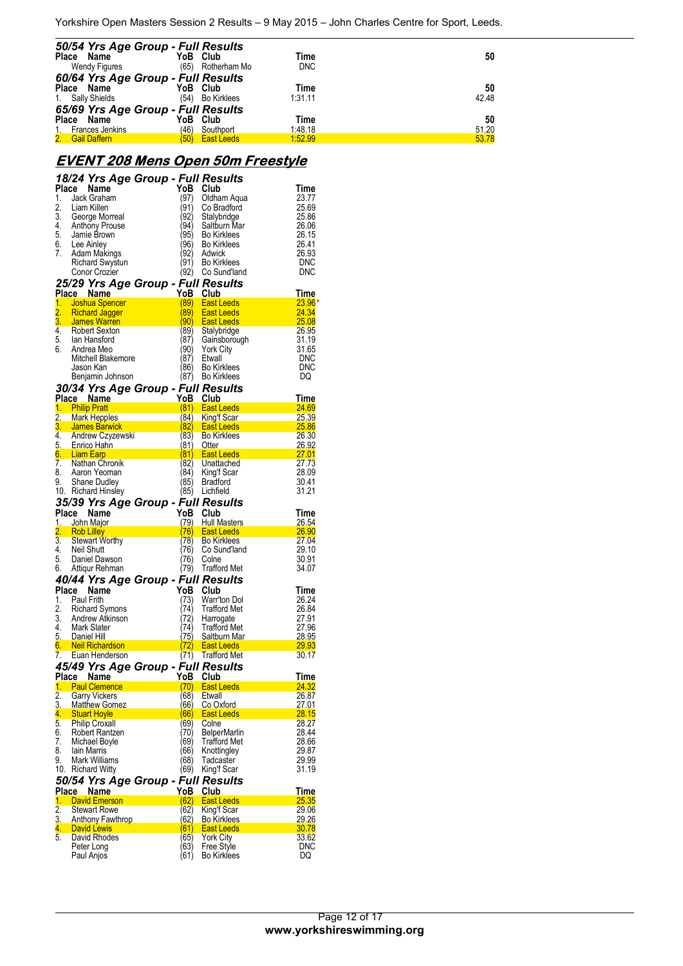Yorkshire Open Masters Session 2 Results – 9 May 2015 – John Charles Centre for Sport, Leeds.

| 50/54 Yrs Age Group - Full Results<br>Place Name<br>Wendy Figures                         |              | YoB Club<br>(65) Rotherham Mo              | Time<br><b>DNC</b>         | 50                   |
|-------------------------------------------------------------------------------------------|--------------|--------------------------------------------|----------------------------|----------------------|
| 60/64 Yrs Age Group - Full Results<br>Place Name<br>1. Sally Shields                      | (54)         | YoB Club<br>Bo Kirklees                    | Time<br>1:31.11            | 50<br>42.48          |
| 65/69 Yrs Age Group - Full Results<br>Place Name<br>1. Frances Jenkins<br>2. Gail Daffern | (46)<br>(50) | YoB Club<br>Southport<br><b>East Leeds</b> | Time<br>1:48.18<br>1:52.99 | 50<br>51.20<br>53.78 |

#### **EVENT 208 Mens Open 50m Freestyle**

| Place                  | 18/24 Yrs Age Group - Full Results<br>Name | YoB Club     |                                        | Time                       |
|------------------------|--------------------------------------------|--------------|----------------------------------------|----------------------------|
| 1.                     | Jack Graham                                | (97)         | Oldham Aqua                            | 23.77                      |
| 2.                     | Liam Killen                                | (91)         | Co Bradford                            | 25.69                      |
| 3.                     | George Morreal                             | 92)          | Stalybridge                            | 25.86                      |
| 4.                     | Anthony Prouse                             | (94)         | Saltburn Mar                           | 26.06                      |
| 5.                     | Jamie Brown                                | (95)         | <b>Bo Kirklees</b>                     | 26.15                      |
| 6.                     | Lee Ainley                                 | (96)         | <b>Bo Kirklees</b>                     | 26.41                      |
| 7.                     | Adam Makings                               | (92)         | Adwick                                 | 26.93                      |
|                        | Richard Swystun                            | (91)         | <b>Bo Kirklees</b>                     | DNC                        |
|                        | Conor Crozier                              | (92)         | Co Sund'land                           | <b>DNC</b>                 |
|                        | 25/29 Yrs Age Group - Full Results         |              |                                        |                            |
|                        | Place Name                                 | YoB          | <b>Club</b>                            | Time                       |
| $\overline{1}$ .<br>2. | Joshua Spencer<br><b>Richard Jagger</b>    | (89)<br>89)  | East Leeds<br><b>East Leeds</b>        | $23.96*$<br>24.34          |
| 3.                     | James Warren                               |              | (90) East Leeds                        | 25.08                      |
| 4.                     | Robert Sexton                              | (89)         | Stalybridge                            | 26.95                      |
| 5.                     | lan Hansford                               | (87)         | Gainsborough                           | 31.19                      |
| 6.                     | Andrea Meo                                 | (90)         | <b>York City</b>                       | 31.65                      |
|                        | Mitchell Blakemore                         | (87)         | Etwall                                 | <b>DNC</b>                 |
|                        | Jason Kan                                  | (86)         | <b>Bo Kirklees</b>                     | <b>DNC</b>                 |
|                        | Benjamin Johnson                           | (87)         | <b>Bo Kirklees</b>                     | DQ                         |
|                        | 30/34 Yrs Age Group - Full Results         |              |                                        |                            |
|                        | Place Name                                 | YoB Club     |                                        | Time                       |
|                        | 1. Philip Pratt                            | (81)         | East Leeds                             | 24.69                      |
|                        | 2. Mark Hepples<br>3. James Barwick        |              | (84) King'f Scar<br>(82) East Leeds    | 25.39                      |
| 4.                     | Andrew Czyzewski                           | (83)         | <b>Bo Kirklees</b>                     | <u>25.86 Page</u><br>26.30 |
|                        | 5. Enrico Hahn                             | (81) Otter   |                                        | $-26.92$                   |
|                        | 6. Liam Earp                               |              | (81) East Leeds                        |                            |
| 7.                     | Nathan Chronik                             | (82)         | Unattached                             | 27.73                      |
| 8.                     | Aaron Yeoman                               | (84)         | King't Scar                            | 28.09                      |
| 9.                     | <b>Shane Dudley</b>                        | (85)         | <b>Bradford</b>                        | 30.41                      |
|                        | 10. Richard Hinsley                        | (85)         | Lichfield                              | 31.21                      |
|                        | 35/39 Yrs Age Group - Full Results         |              |                                        |                            |
| Place                  | Name                                       | YoB          | Club                                   | Time                       |
|                        | 1. John Major                              |              | (79) Hull Masters                      | <u>26.54</u>               |
| 3.                     | 2. Rob Lilley<br><b>Stewart Worthy</b>     | (78)         | (76) East Leeds<br><b>Bo Kirklees</b>  | 26.90<br>27.04             |
| 4.                     | Neil Shutt                                 | (76)         | Co Sund'land                           | 29.10                      |
| 5.                     | Daniel Dawson                              | (76)         | Colne                                  | 30.91                      |
| 6.                     | Attiqur Rehman                             | (79)         | <b>Trafford Met</b>                    | 34.07                      |
|                        | 40/44 Yrs Age Group - Full Results         |              |                                        |                            |
|                        | Place Name                                 | YoB          | Club                                   | Time                       |
| 1.                     | Paul Frith                                 | (73)         | Warr'ton Dol                           | 26.24                      |
| 2.                     | <b>Richard Symons</b>                      | (74)         | <b>Trafford Met</b>                    | 26.84                      |
|                        | 3. Andrew Atkinson                         | (72)         | Harrogate                              | 27.91                      |
| 4.                     | Mark Slater                                | (74)         | <b>Trafford Met</b>                    | 27.96                      |
|                        | 5. Daniel Hill<br><b>Neil Richardson</b>   | (75)<br>(72) | Saltburn Mar                           | 28.95<br>29.93             |
| 6.                     | 7. Euan Henderson                          |              | <b>East Leeds</b><br>(71) Trafford Met | 30.17                      |
|                        | 45/49 Yrs Age Group - Full Results         |              |                                        |                            |
|                        | Place Name                                 | YoB Club     |                                        | <u>Time</u>                |
| 1.                     | <b>Paul Clemence</b>                       | (70)         | <b>East Leeds</b>                      | 24.32                      |
| 2.                     | <b>Garry Vickers</b>                       | (68)         | Etwall                                 | 26.87                      |
| 3.                     | <b>Matthew Gomez</b>                       | (66)         | <b>Co Oxford</b>                       | 27.01                      |
| 4.                     | <b>Stuart Hoyle</b>                        | (66          | <b>East Leeds</b>                      | 28.15                      |
| 5.                     | <b>Philip Croxall</b>                      | (69)         | Colne                                  | 28.27                      |
| 6.                     | Robert Rantzen                             | (70)         | <b>BelperMarlin</b>                    | 28.44                      |
| 7.<br>8.               | Michael Boyle<br>lain Marris               | (69)<br>(66) | <b>Trafford Met</b><br>Knottingley     | 28.66<br>29.87             |
| 9.                     | Mark Williams                              | (68)         | Tadcaster                              | 29.99                      |
| 10.                    | <b>Richard Witty</b>                       | (69)         | King'f Scar                            | 31.19                      |
|                        | 50/54 Yrs Age Group - Full Results         |              |                                        |                            |
| Place                  | Name                                       | YoB          | Club                                   | Time                       |
| 1.                     | <b>David Emerson</b>                       | (62)         | <b>East Leeds</b>                      | 25.35                      |
| 2.                     | <b>Stewart Rowe</b>                        | (62)         | King'f Scar                            | 29.06                      |
| <u>3.</u>              | <b>Anthony Fawthrop</b>                    | (62)         | <b>Bo Kirklees</b>                     | <u>29.26</u>               |
| 4.                     | <b>David Lewis</b>                         | (61)         | <b>East Leeds</b>                      | 30.78                      |
| 5.                     | David Rhodes                               | (65)         | York City                              | 33.62                      |
|                        | Peter Long                                 | (63)         | Free Style                             | <b>DNC</b>                 |
|                        | Paul Anjos                                 | (61)         | <b>Bo Kirklees</b>                     | DQ                         |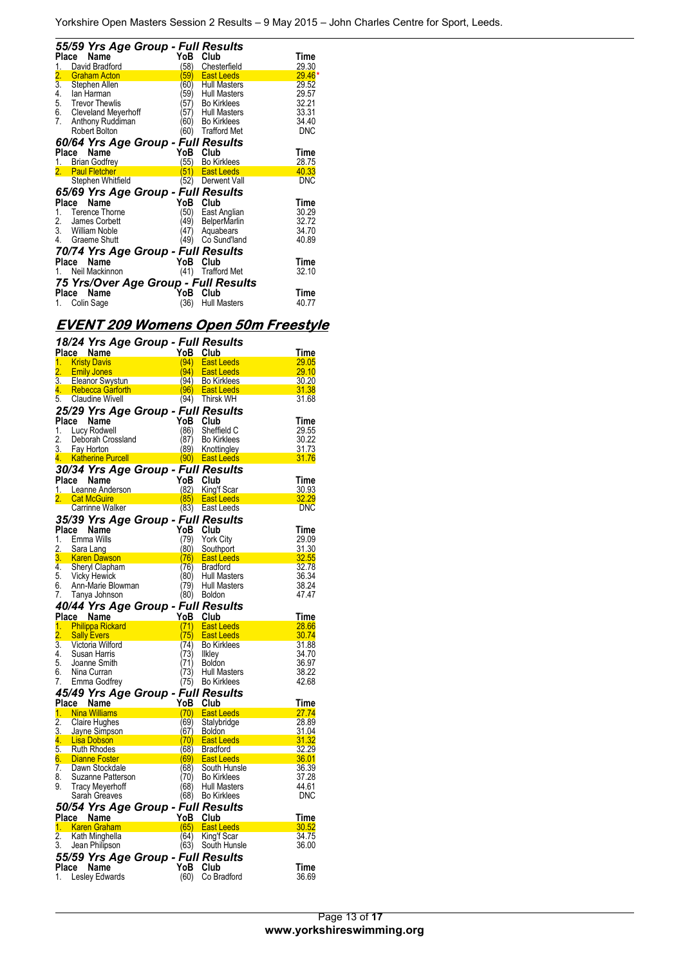|                  | 55/59 Yrs Age Group - Full Results   |      |                     |            |
|------------------|--------------------------------------|------|---------------------|------------|
| Place            | Name                                 | YoB  | Club                | Time       |
| 1.               | David Bradford                       | (58) | Chesterfield        | 29.30      |
| 2.               | <b>Graham Acton</b>                  | 59)  | <b>East Leeds</b>   | $29.46*$   |
| $\overline{3}$ . | Stephen Allen                        | (60) | <b>Hull Masters</b> | 29.52      |
| 4.               | lan Harman                           | 59)  | <b>Hull Masters</b> | 29.57      |
| 5.               | <b>Trevor Thewlis</b>                | 57)  | <b>Bo Kirklees</b>  | 32.21      |
|                  | 6. Cleveland Meyerhoff               | (57) | <b>Hull Masters</b> | 33.31      |
| 7.               | Anthony Ruddiman                     | (60) | <b>Bo Kirklees</b>  | 34.40      |
|                  | Robert Bolton                        | (60) | <b>Trafford Met</b> | <b>DNC</b> |
|                  | 60/64 Yrs Age Group - Full Results   |      |                     |            |
| Place            | Name                                 | YoB  | Club                | Time       |
|                  | <b>Brian Godfrey</b>                 | 55)  | <b>Bo Kirklees</b>  | 28.75      |
| 2.               | <b>Paul Fletcher</b>                 | 51)  | <b>East Leeds</b>   | 40.33      |
|                  | Stephen Whitfield                    | (52) | Derwent Vall        | <b>DNC</b> |
|                  | 65/69 Yrs Age Group - Full Results   |      |                     |            |
| Place            | Name                                 | YoB  | Club                | Time       |
| 1.               | Terence Thorne                       | (50) | East Anglian        | 30.29      |
| 2.               | James Corbett                        | (49) | <b>BelperMarlin</b> | 32.72      |
|                  | 3. William Noble                     | (47) | Aquabears           | 34.70      |
| 4.               | Graeme Shutt                         | (49) | Co Sund'land        | 40.89      |
|                  | 70/74 Yrs Age Group - Full Results   |      |                     |            |
|                  | Name<br>Place                        | YoB  | Club                | Time       |
|                  | Neil Mackinnon                       | (41) | <b>Trafford Met</b> | 32.10      |
|                  | 75 Yrs/Over Age Group - Full Results |      |                     |            |
|                  | Name<br>Place                        | YoB  | Club                | Time       |
| 1.               | Colin Sage                           | (36) | <b>Hull Masters</b> | 40.77      |

# **EVENT 209 Womens Open 50m Freestyle**

|                  | 18/24 Yrs Age Group - Full Results                |              |                                   |                       |
|------------------|---------------------------------------------------|--------------|-----------------------------------|-----------------------|
|                  | Place Name                                        | YoB          | Club                              | Time                  |
| 1.               | <b>Kristy Davis</b>                               | (94)         | East Leeds                        | 29.05                 |
| 2.               | <b>Emily Jones</b>                                | 94)          | <b>East Leeds</b>                 | 29.10                 |
| 3.               | Eleanor Swystun                                   | 96)          | (94) Bo Kirklees                  | 30.20                 |
| 4.<br>5.         | <b>Rebecca Garforth</b><br><b>Claudine Wivell</b> |              | <b>East Leeds</b>                 | 31.38<br>31.68        |
|                  |                                                   | (94)         | Thirsk WH                         |                       |
|                  | 25/29 Yrs Age Group - Full Results                |              |                                   |                       |
| Place            | Name                                              | YoB          | Club                              | Time                  |
| 1.<br>2.         | Lucy Rodwell                                      | (86)         | Sheffield C                       | 29.55<br>30.22        |
| 3.               | Deborah Crossland<br>Fay Horton                   | (87)<br>(89) | <b>Bo Kirklees</b><br>Knottingley | 31.73                 |
| 4.               | <b>Katherine Purcell</b>                          | (90)         | <b>East Leeds</b>                 | 31.76                 |
|                  |                                                   |              |                                   |                       |
|                  | 30/34 Yrs Age Group - Full Results                |              |                                   |                       |
| Place            | Name<br>1. Leanne Anderson                        | YoB<br>(82)  | Club<br>King'f Scar               | Time                  |
| 2.               | <b>Cat McGuire</b>                                | (85)         | <b>East Leeds</b>                 | 30.93<br>32.29        |
|                  | Carrinne Walker                                   | (83)         | East Leeds                        | DNC                   |
|                  |                                                   |              |                                   |                       |
|                  | 35/39 Yrs Age Group - Full Results                |              |                                   |                       |
| Place<br>1.      | Name<br>Emma Wills                                | YoB<br>(79)  | Club                              | Time<br>29.09         |
| 2.               | Sara Lang                                         | (80)         | York City<br>Southport            | 31.30                 |
| 3.               | <b>Karen Dawson</b>                               | (76)         | <b>East Leeds</b>                 | 32.55                 |
| 4.               | Sheryl Clapham                                    | (76)         | <b>Bradford</b>                   | 32.78                 |
| 5.               | Vicky Hewick                                      | (80)         | <b>Hull Masters</b>               | 36.34                 |
| 6.               | Ann-Marie Blowman                                 | 79)          | <b>Hull Masters</b>               | 38.24                 |
| 7.               | Tanya Johnson                                     | (80)         | <b>Boldon</b>                     | 47.47                 |
|                  | 40/44 Yrs Age Group - Full Results                |              |                                   |                       |
|                  | Place Name                                        | YoB          | Club                              | Time                  |
|                  |                                                   |              |                                   |                       |
| 1.               | <b>Philippa Rickard</b>                           | (71)         | <b>East Leeds</b>                 | 28.66                 |
| 2.               | <b>Sally Evers</b>                                | (75)         | East Leeds                        | 30.74                 |
| $\overline{3}$ . | Victoria Wilford                                  | (74)         | <b>Bo Kirklees</b>                | 31.88                 |
| 4.               | Susan Harris                                      | (73)         | Ilkley                            | 34.70                 |
| 5.               | Joanne Smith                                      | 71)          | Boldon                            | 36.97                 |
| 6.               | Nina Curran                                       | (73)         | <b>Hull Masters</b>               | 38.22                 |
| 7.               | Emma Godfrey                                      | (75)         | <b>Bo Kirklees</b>                | 42.68                 |
|                  | 45/49 Yrs Age Group - Full Results                |              |                                   |                       |
| Place            | Name                                              | <u>YoB</u>   | Club                              | Time                  |
| 1.               | <b>Nina Williams</b>                              | (70)         | East Leeds                        | 27.74                 |
| $\overline{2}$ . | <b>Claire Hughes</b>                              | (69)         | Stalybridge                       | 28.89                 |
| 3.               | Jayne Simpson                                     | (67)         | <b>Boldon</b>                     | 31.04                 |
| 4.               | <b>Lisa Dobson</b>                                | (70)         | <b>East Leeds</b>                 | 31.32                 |
|                  | 5. Ruth Rhodes                                    | (68)         | Bradford                          | 32.29                 |
| 6.<br>7.         | <b>Dianne Foster</b><br>Dawn Stockdale            | (69)<br>(68) | <b>East Leeds</b><br>South Hunsle | <b>36.01</b><br>36.39 |
| 8.               | Suzanne Patterson                                 | (70)         | <b>Bo Kirklees</b>                | 37.28                 |
| 9.               | <b>Tracy Meyerhoff</b>                            | (68)         | <b>Hull Masters</b>               | 44.61                 |
|                  | Sarah Greaves                                     | (68)         | <b>Bo Kirklees</b>                | DNC                   |
|                  |                                                   |              |                                   |                       |
|                  | 50/54 Yrs Age Group - Full Results<br>Place Name  | YoB          | Club                              | Time                  |
|                  | 1. Karen Graham                                   | (65)         | <b>East Leeds</b>                 | 30.52                 |
| $\overline{2}$ . | Kath Minghella                                    | (64)         | King'f Scar                       | 34.75                 |
| 3.               | Jean Philipson                                    | (63)         | South Hunsle                      | 36.00                 |
|                  | 55/59 Yrs Age Group - Full Results                |              |                                   |                       |
| Place            | Name                                              | YoB          | Club                              | Time<br>36.69         |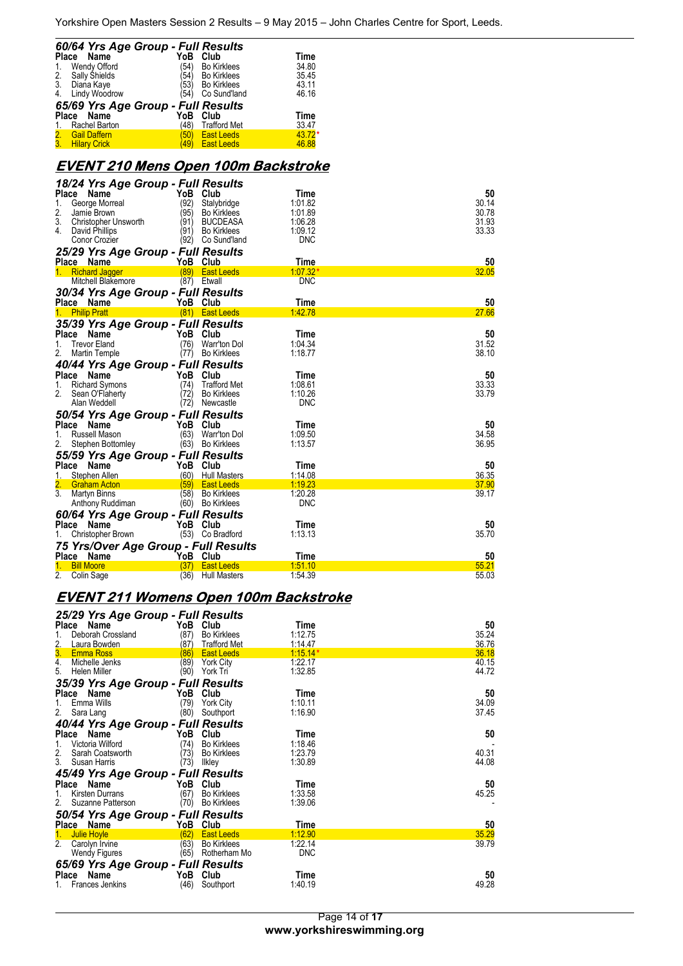| 60/64 Yrs Age Group - Full Results      |      |                    |             |
|-----------------------------------------|------|--------------------|-------------|
| Place<br>Name                           | YoB  | Club               | <b>Time</b> |
| Wendy Offord<br>1.                      | '54) | <b>Bo Kirklees</b> | 34.80       |
| 2. Sally Shields                        |      | (54) Bo Kirklees   | 35.45       |
| 3.<br>Diana Kaye                        |      | (53) Bo Kirklees   | 43.11       |
| Lindy Woodrow<br>$\overline{4}$ .       | '54) | Co Sund'land       | 46.16       |
| 65/69 Yrs Age Group - Full Results      |      |                    |             |
| Name<br>Place                           | YoB  | Club               | Time        |
| Rachel Barton                           | (48) | Trafford Met       | 33.47       |
| 2.<br><b>Gail Daffern</b>               |      | (50) East Leeds    | $43.72*$    |
| $\overline{3}$ .<br><b>Hilary Crick</b> | 49)  | <b>East Leeds</b>  | 46.88       |

# **EVENT 210 Mens Open 100m Backstroke**

| 18/24 Yrs Age Group - Full Results   |                             |                 |             |
|--------------------------------------|-----------------------------|-----------------|-------------|
| <b>Place</b><br>Name                 | YoB<br>Club                 | Time            | 50          |
| 1.<br>George Morreal                 | (92)<br>Stalybridge         | 1:01.82         | 30.14       |
| 2.<br>Jamie Brown                    | (95)<br><b>Bo Kirklees</b>  | 1:01.89         | 30.78       |
| 3.<br><b>Christopher Unsworth</b>    | (91)<br><b>BUCDEASA</b>     | 1:06.28         | 31.93       |
| 4.<br>David Phillips                 | (91)<br><b>Bo Kirklees</b>  | 1:09.12         | 33.33       |
| Conor Crozier                        | (92)<br>Co Sund'land        | <b>DNC</b>      |             |
| 25/29 Yrs Age Group - Full Results   |                             |                 |             |
| Place Name                           | YoB<br>Club                 | Time            | 50          |
| <b>Richard Jagger</b><br>1.          | (89)<br><b>East Leeds</b>   | $1:07.32*$      | 32.05       |
| Mitchell Blakemore                   | $(87)$ Etwall               | <b>DNC</b>      |             |
| 30/34 Yrs Age Group - Full Results   |                             |                 |             |
| Place Name                           | YoB Club                    | Time            | 50          |
| <b>Philip Pratt</b>                  | (81)<br><b>East Leeds</b>   | 1:42.78         | 27.66       |
| 35/39 Yrs Age Group - Full Results   |                             |                 |             |
| Place<br>Name                        | YoB<br>Club                 | Time            | 50          |
| <b>Trevor Eland</b><br>1.            | (76)<br>Warr'ton Dol        | 1:04.34         | 31.52       |
| 2.<br>Martin Temple                  | <b>Bo Kirklees</b><br>(77)  | 1:18.77         | 38.10       |
| 40/44 Yrs Age Group - Full Results   |                             |                 |             |
| Place<br>Name                        | YoB<br>Club                 | Time            | 50          |
| <b>Richard Symons</b><br>1.          | (74)<br>Trafford Met        | 1:08.61         | 33.33       |
| 2.<br>Sean O'Flaherty                | (72)<br><b>Bo Kirklees</b>  | 1:10.26         | 33.79       |
| Alan Weddell                         | (72)<br>Newcastle           | <b>DNC</b>      |             |
| 50/54 Yrs Age Group - Full Results   |                             |                 |             |
| Place<br>Name                        | YoB<br>Club                 | Time            | 50          |
| 1.<br>Russell Mason                  | (63) Warr'ton Dol           | 1:09.50         | 34.58       |
| 2.<br>Stephen Bottomley              | (63) Bo Kirklees            | 1:13.57         | 36.95       |
|                                      |                             |                 |             |
| 55/59 Yrs Age Group - Full Results   | YoB Club                    |                 |             |
| Place<br>Name<br>1.<br>Stephen Allen | (60)<br><b>Hull Masters</b> | Time<br>1:14.08 | 50<br>36.35 |
| 2.<br><b>Graham Acton</b>            | (59)<br><b>East Leeds</b>   | 1:19.23         | 37.90       |
| $\overline{3}$ .<br>Martyn Binns     | (58) Bo Kirklees            | 1:20.28         | 39.17       |
| Anthony Ruddiman                     | (60) Bo Kirklees            | <b>DNC</b>      |             |
|                                      |                             |                 |             |
| 60/64 Yrs Age Group - Full Results   |                             |                 |             |
| Place Name                           | YoB Club                    | Time<br>1:13.13 | 50<br>35.70 |
| Christopher Brown                    | (53) Co Bradford            |                 |             |
| 75 Yrs/Over Age Group - Full Results |                             |                 |             |
| Place<br>Name                        | YoB Club                    | Time            | 50          |
| <b>Bill Moore</b>                    | (37)<br><b>East Leeds</b>   | 1:51.10         | 55.21       |
| 2.<br>Colin Sage                     | (36)<br><b>Hull Masters</b> | 1:54.39         | 55.03       |

# **EVENT 211 Womens Open 100m Backstroke**

| 25/29 Yrs Age Group - Full Results |                             |            |                |
|------------------------------------|-----------------------------|------------|----------------|
| Place Name                         | YoB<br>Club                 | Time       | 50             |
| 1.<br>Deborah Crossland            | (87)<br><b>Bo Kirklees</b>  | 1:12.75    | 35.24          |
| 2.<br>Laura Bowden                 | (87)<br><b>Trafford Met</b> | 1:14.47    | 36.76          |
| 3 <sub>1</sub><br><b>Emma Ross</b> | (86)<br><b>East Leeds</b>   | $1:15.14*$ | 36.18          |
| 4. Michelle Jenks                  | (89)<br><b>York City</b>    | 1:22.17    | 40.15<br>44.72 |
| 5. Helen Miller                    | (90)<br>York Tri            | 1:32.85    |                |
| 35/39 Yrs Age Group - Full Results |                             |            |                |
| Place Name                         | YoB<br>Club                 | Time       | 50             |
| 1.<br>Emma Wills                   | (79)<br><b>York City</b>    | 1:10.11    | 34.09          |
| 2.<br>Sara Lang                    | (80)<br>Southport           | 1:16.90    | 37.45          |
| 40/44 Yrs Age Group - Full Results |                             |            |                |
| Place Name                         | YoB Club                    | Time       | 50             |
| Victoria Wilford<br>1.             | (74)<br><b>Bo Kirklees</b>  | 1:18.46    |                |
| 2. Sarah Coatsworth                | (73)<br><b>Bo Kirklees</b>  | 1:23.79    | 40.31          |
| 3.<br>Susan Harris                 | (73)<br><b>Ilkley</b>       | 1:30.89    | 44.08          |
|                                    |                             |            |                |
| 45/49 Yrs Age Group - Full Results |                             |            |                |
| Place Name                         | YoB Club                    | Time       | 50             |
| Kirsten Durrans<br>1.              | (67)<br><b>Bo Kirklees</b>  | 1:33.58    | 45.25          |
| 2.<br>Suzanne Patterson            | <b>Bo Kirklees</b><br>(70)  | 1:39.06    |                |
| 50/54 Yrs Age Group - Full Results |                             |            |                |
| Place Name                         | YoB Club                    | Time       | 50             |
| 1.<br><b>Julie Hoyle</b>           | (62)<br><b>East Leeds</b>   | 1:12.90    | 35.29          |
| 2.<br>Carolyn Irvine               | (63)<br><b>Bo Kirklees</b>  | 1:22.14    | 39.79          |
| Wendy Figures                      | (65)<br>Rotherham Mo        | <b>DNC</b> |                |
| 65/69 Yrs Age Group - Full Results |                             |            |                |
| Place Name                         | YoB Club                    | Time       | 50             |
| Frances Jenkins<br>1.              | (46)<br>Southport           | 1:40.19    | 49.28          |
|                                    |                             |            |                |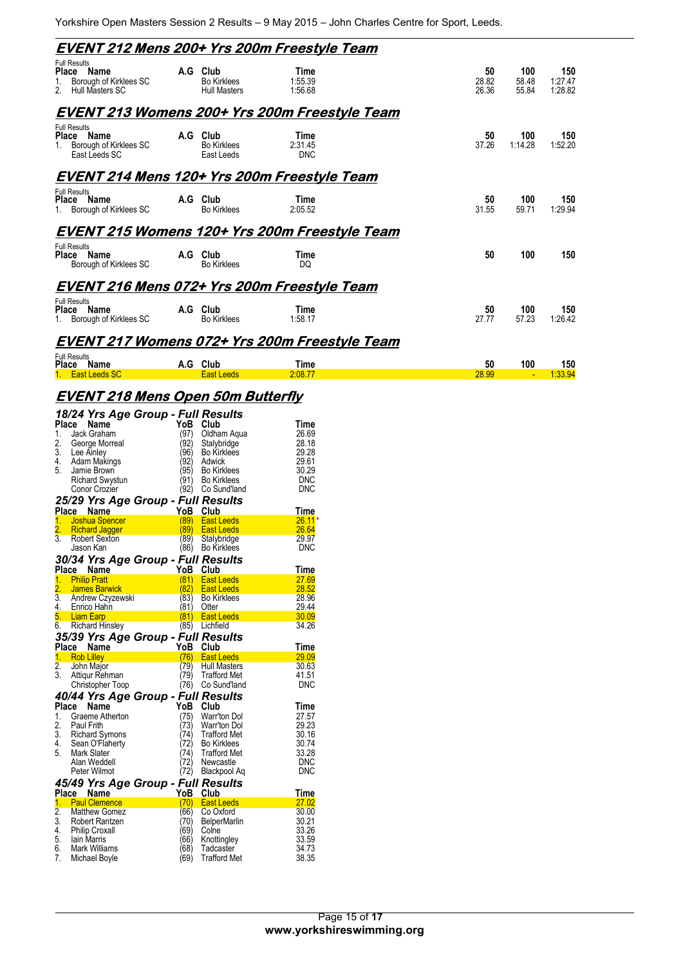| EVENT 212 Mens 200+ Yrs 200m Freestyle Team                                             |     |                                                   |                               |                      |                       |                           |
|-----------------------------------------------------------------------------------------|-----|---------------------------------------------------|-------------------------------|----------------------|-----------------------|---------------------------|
| <b>Full Results</b><br>Place Name<br>Borough of Kirklees SC<br>Hull Masters SC<br>2.    | A.G | Club<br><b>Bo Kirklees</b><br><b>Hull Masters</b> | Time<br>1:55.39<br>1:56.68    | 50<br>28.82<br>26.36 | 100<br>58.48<br>55.84 | 150<br>1:27.47<br>1:28.82 |
| EVENT 213 Womens 200+ Yrs 200m Freestyle Team                                           |     |                                                   |                               |                      |                       |                           |
| <b>Full Results</b><br>Place Name<br>Borough of Kirklees SC<br>$1_{-}$<br>East Leeds SC |     | A.G Club<br><b>Bo Kirklees</b><br>East Leeds      | Time<br>2:31.45<br><b>DNC</b> | 50<br>37.26          | 100<br>1:14.28        | 150<br>1:52.20            |
| EVENT 214 Mens 120+ Yrs 200m Freestyle Team                                             |     |                                                   |                               |                      |                       |                           |
| <b>Full Results</b><br>Place Name<br>Borough of Kirklees SC                             |     | A.G Club<br><b>Bo Kirklees</b>                    | Time<br>2:05.52               | 50<br>31.55          | 100<br>59.71          | 150<br>1:29.94            |
| <b>EVENT 215 Womens 120+ Yrs 200m Freestyle Team</b>                                    |     |                                                   |                               |                      |                       |                           |
| <b>Full Results</b><br><b>Place</b><br>Name<br>Borough of Kirklees SC                   | A.G | Club<br><b>Bo Kirklees</b>                        | Time<br>DQ                    | 50                   | 100                   | 150                       |
| EVENT 216 Mens 072+ Yrs 200m Freestyle Team                                             |     |                                                   |                               |                      |                       |                           |
| <b>Full Results</b><br>Place Name<br>Borough of Kirklees SC<br>1.                       |     | A.G Club<br><b>Bo Kirklees</b>                    | Time<br>1:58.17               | 50<br>27.77          | 100<br>57.23          | 150<br>1:26.42            |
| EVENT 217 Womens 072+ Yrs 200m Freestyle Team                                           |     |                                                   |                               |                      |                       |                           |
| <b>Full Results</b><br>Place Name<br>1. East Leeds SC                                   |     | A.G Club<br><b>East Leeds</b>                     | Time<br>2:08.77               | 50<br>28.99          | 100                   | 150<br>1:33.94            |
| <b>EVENT 218 Mens Open 50m Butterfly</b>                                                |     |                                                   |                               |                      |                       |                           |

| Place<br>1.<br>2.<br>3.<br>4.<br>5. | Name<br>Jack Graham<br>George Morreal<br>Lee Ainley<br>Adam Makings<br>Jamie Brown<br><b>Richard Swystun</b><br>Conor Crozier | 18/24 Yrs Age Group - Full Results<br>YoB<br>(97)<br>(92)<br>′96)<br>(92)<br>(95)<br>(91)<br>(92) | Club<br>Oldham Aqua<br>Stalybridge<br><b>Bo Kirklees</b><br>Adwick<br><b>Bo Kirklees</b><br><b>Bo Kirklees</b><br>Co Sund'land | Time<br>26.69<br>28.18<br>29.28<br>29.61<br>30.29<br><b>DNC</b><br>DNC |
|-------------------------------------|-------------------------------------------------------------------------------------------------------------------------------|---------------------------------------------------------------------------------------------------|--------------------------------------------------------------------------------------------------------------------------------|------------------------------------------------------------------------|
|                                     |                                                                                                                               | 25/29 Yrs Age Group - Full Results                                                                |                                                                                                                                |                                                                        |
|                                     | Place Name                                                                                                                    | YoB                                                                                               | Club                                                                                                                           | <b>Time</b>                                                            |
|                                     | 1. Joshua Spencer                                                                                                             | (89)                                                                                              | <b>East Leeds</b>                                                                                                              | $26.11*$                                                               |
| 2.<br>$\overline{3}$ .              | <b>Richard Jagger</b>                                                                                                         | (89)<br>(89)                                                                                      | <b>East Leeds</b>                                                                                                              | 26.64<br>29.97                                                         |
|                                     | Robert Sexton<br>Jason Kan                                                                                                    | (86)                                                                                              | Stalybridge<br><b>Bo Kirklees</b>                                                                                              | DNC                                                                    |
|                                     |                                                                                                                               | 30/34 Yrs Age Group - Full Results                                                                |                                                                                                                                |                                                                        |
|                                     | Place Name                                                                                                                    | YoB                                                                                               | Club                                                                                                                           | <b>Time</b>                                                            |
| 1.                                  | <b>Philip Pratt</b>                                                                                                           | (81)                                                                                              | <b>East Leeds</b>                                                                                                              | 27.69                                                                  |
| $\overline{2}$ .                    | James Barwick                                                                                                                 | (82)                                                                                              | <b>East Leeds</b>                                                                                                              | 28.52                                                                  |
|                                     | 3. Andrew Czyzewski                                                                                                           | (83)                                                                                              | <b>Bo Kirklees</b>                                                                                                             | 28.96                                                                  |
|                                     | 4. Enrico Hahn                                                                                                                | (81)                                                                                              | Otter                                                                                                                          | 29.44                                                                  |
| 5.                                  | <b>Liam Earp</b>                                                                                                              | (81) -                                                                                            | <b>East Leeds</b>                                                                                                              | 30.09                                                                  |
| 6.                                  | Richard Hinsley                                                                                                               | (85)                                                                                              | Lichfield                                                                                                                      | 34.26                                                                  |
|                                     |                                                                                                                               |                                                                                                   |                                                                                                                                |                                                                        |
|                                     |                                                                                                                               | 35/39 Yrs Age Group - Full Results                                                                |                                                                                                                                |                                                                        |
|                                     | Place Name                                                                                                                    | YoB                                                                                               | Club                                                                                                                           | <b>Time</b>                                                            |
| 1.                                  | Rob Lilley                                                                                                                    | (76)                                                                                              | <b>East Leeds</b>                                                                                                              | 29.09                                                                  |
| $\overline{2}$ .                    | John Major                                                                                                                    | (79)                                                                                              | Hull Masters                                                                                                                   | 30.63                                                                  |
| $\overline{3}$ .                    | Attiqur Rehman                                                                                                                | (79)                                                                                              | <b>Trafford Met</b>                                                                                                            | 41.51                                                                  |
|                                     | Christopher Toop                                                                                                              | (76)                                                                                              | Co Sund'land                                                                                                                   | DNC                                                                    |
|                                     |                                                                                                                               | 40/44 Yrs Age Group - Full Results                                                                |                                                                                                                                |                                                                        |
| Place                               | Name                                                                                                                          | YoB                                                                                               | Club                                                                                                                           | Time                                                                   |
| 1.                                  | Graeme Atherton<br>Paul Frith                                                                                                 | (75)<br>(73)                                                                                      | Warr'ton Dol                                                                                                                   | 27.57<br>29.23                                                         |
| 2.                                  |                                                                                                                               | (74)                                                                                              | Warr'ton Dol<br><b>Trafford Met</b>                                                                                            | 30.16                                                                  |
|                                     |                                                                                                                               | (72)                                                                                              | <b>Bo Kirklees</b>                                                                                                             | 30.74                                                                  |
| 5.                                  | 3. Richard Symons<br>4. Sean O'Flaherty<br>Mark Slater                                                                        | (74)                                                                                              | Trafford Met                                                                                                                   | 33.28                                                                  |
|                                     | Alan Weddell                                                                                                                  | (72)                                                                                              | Newcastle                                                                                                                      | <b>DNC</b>                                                             |
|                                     | Peter Wilmot                                                                                                                  | (72)                                                                                              | Blackpool Aq                                                                                                                   | DNC                                                                    |
|                                     |                                                                                                                               | 45/49 Yrs Age Group - Full Results                                                                |                                                                                                                                |                                                                        |
|                                     | Place Name                                                                                                                    | YoB                                                                                               | Club                                                                                                                           | <b>Time</b>                                                            |
| 1.                                  | <b>Paul Clemence</b>                                                                                                          | (70)                                                                                              | <b>East Leeds</b>                                                                                                              | 27.02                                                                  |
| $\overline{2}$ .                    | <b>Matthew Gomez</b>                                                                                                          | (66)                                                                                              | Co Oxford                                                                                                                      | 30.00<br>30.21                                                         |
|                                     | 3. Robert Rantzen<br>4. Philip Croxall                                                                                        | (70)<br>(69)                                                                                      | <b>BelperMarlin</b><br>Colne                                                                                                   | 33.26                                                                  |
|                                     |                                                                                                                               | (66)                                                                                              | Knottingley                                                                                                                    | 33.59                                                                  |
| 6.<br>7.                            | 5. Iain Marris<br>Mark Williams<br>Michael Boyle                                                                              | (68)<br>(69)                                                                                      | Tadcaster<br>Trafford Met                                                                                                      | 34.73<br>38.35                                                         |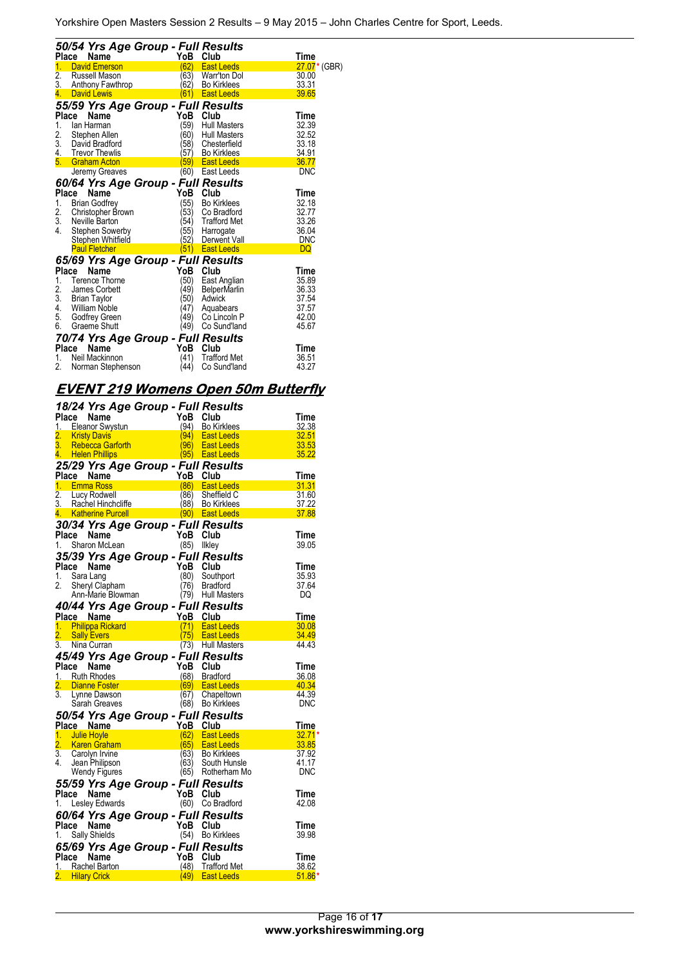|                  | 50/54 Yrs Age Group - Full Results |                   |                                         |                          |
|------------------|------------------------------------|-------------------|-----------------------------------------|--------------------------|
| <b>Place</b>     | Name                               | YoB               | Club                                    | Time                     |
| 1.               | <b>David Emerson</b>               | (62)              | <b>East Leeds</b>                       | 27.07 <sup>*</sup> (GBR) |
| $\overline{2}$ . | <b>Russell Mason</b>               | (63)              | <b>Warr'ton Dol</b>                     | 30.00                    |
| 3.<br>4.         | Anthony Fawthrop<br>David Lewis    | (62)<br>(61)      | <b>Bo Kirklees</b><br><b>East Leeds</b> | 33.31<br>39.65           |
|                  |                                    |                   |                                         |                          |
|                  | 55/59 Yrs Age Group - Full Results |                   |                                         |                          |
| Place            | Name                               | YoB               | Club                                    | Time                     |
| 1.               | lan Harman                         | (59)              | <b>Hull Masters</b>                     | 32.39                    |
| 2.               | Stephen Allen                      | '60)              | <b>Hull Masters</b>                     | 32.52                    |
| 3.               | David Bradford                     | 58)               | Chesterfield                            | 33.18                    |
| 4.               | <b>Trevor Thewlis</b>              | 57)               | <b>Bo Kirklees</b>                      | 34.91                    |
| 5.               | <b>Graham Acton</b>                | 59)               | <b>East Leeds</b>                       | 36.77                    |
|                  | Jeremy Greaves                     | (60)              | East Leeds                              | <b>DNC</b>               |
|                  | 60/64 Yrs Age Group - Full Results |                   |                                         |                          |
| Place            | Name                               | YoB               | Club                                    | Time                     |
| 1.               | <b>Brian Godfrey</b>               | (55)              | <b>Bo Kirklees</b>                      | 32.18                    |
| 2.               | Christopher Brown                  | 53)               | Co Bradford                             | 32.77                    |
| 3.               | Neville Barton                     | (54)              | <b>Trafford Met</b>                     | 33.26                    |
| $\overline{4}$ . | Stephen Sowerby                    | (55)              | Harrogate                               | 36.04                    |
|                  | Stephen Whitfield                  | 32)               | Derwent Vall                            | <b>DNC</b>               |
|                  | <b>Paul Fletcher</b>               | $\left(51\right)$ | <b>East Leeds</b>                       | DQ                       |
|                  | 65/69 Yrs Age Group - Full Results |                   |                                         |                          |
| Place            | Name                               | YoB               | Club                                    | Time                     |
| 1.               | <b>Terence Thorne</b>              | 50)               | East Anglian                            | 35.89                    |
| 2.               | James Corbett                      | 49)               | <b>BelperMarlin</b>                     | 36.33                    |
| 3.               | <b>Brian Taylor</b>                | 50)               | Adwick                                  | 37.54                    |
| 4.               | William Noble                      | (47)              | Aquabears                               | 37.57                    |
| 5.               | Godfrey Green                      | (49)              | Co Lincoln P                            | 42.00                    |
| 6.               | Graeme Shutt                       | (49)              | Co Sund'land                            | 45.67                    |
|                  | 70/74 Yrs Age Group - Full Results |                   |                                         |                          |
| Place            | Name                               | YoB               | Club                                    | Time                     |
| 1.               | Neil Mackinnon                     | (41)              | <b>Trafford Met</b>                     | 36.51                    |
| 2.               | Norman Stephenson                  | (44)              | Co Sund'land                            | 43.27                    |

## **EVENT 219 Womens Open 50m Butterfly**

|                  | 18/24 Yrs Age Group - Full Results                             |             |                                        |                      |
|------------------|----------------------------------------------------------------|-------------|----------------------------------------|----------------------|
|                  | Place Name<br>1. Eleanor Swystun<br>1. Eleanor Swystun         | YoB Club    |                                        | Time                 |
|                  |                                                                |             | (94) Bo Kirklees                       | 32.38                |
| 2.               | <b>Kristy Davis</b>                                            | (94)        | <b>East Leeds</b>                      | 32.51                |
| 3.               | <b>Rebecca Garforth</b>                                        | (96) -      | <b>East Leeds</b>                      | 33.53                |
|                  | 4. Helen Phillips                                              |             | $(95)$ East Leeds                      | 35.22                |
|                  | 25/29 Yrs Age Group - Full Results                             |             |                                        |                      |
|                  | Place Name                                                     | YoB Club    |                                        | Time                 |
|                  | 1. Emma Ross                                                   |             | (86) East Leeds                        | 31.31                |
| 2.               | Lucy Rodwell                                                   | (86)        | Sheffield C                            | 31.60                |
|                  | 3. Rachel Hinchcliffe<br>4. Katherine Purcell                  |             | (88) Bo Kirklees                       | 37.22<br>37.88       |
|                  |                                                                |             | <b>East Leeds</b> (90) East Leeds      |                      |
|                  | 30/34 Yrs Age Group - Full Results                             |             |                                        |                      |
|                  | Place Name                                                     | YoB         | Club                                   | Time                 |
| 1.               | Sharon McLean                                                  | (85) Ilkley |                                        | 39.05                |
|                  | 35/39 Yrs Age Group - Full Results                             |             |                                        |                      |
| Place            | Name                                                           | YoB Club    |                                        | Time                 |
| 1.               | Sara Lang                                                      | (80)        | Southport                              | 35.93                |
| 2.               | Sheryl Clapham<br>Ann-Marie Blowman                            | (76)        | <b>Bradford</b>                        | 37.64<br>DQ          |
|                  |                                                                |             | (79) Hull Masters                      |                      |
|                  | 40/44 Yrs Age Group - Full Results                             |             |                                        |                      |
|                  | Place Name                                                     | YoB         | Club                                   | <b>Time</b>          |
|                  | 1. Philippa Rickard                                            | (75)        | (71) East Leeds                        | 30.08                |
| 2.<br>3.         | <b>Sally Evers</b><br>Nina Curran                              |             | <b>East Leeds</b><br>(73) Hull Masters | 34.49<br>44.43       |
|                  |                                                                |             |                                        |                      |
|                  | 45/49 Yrs Age Group - Full Results                             |             |                                        |                      |
|                  | Place Name<br>1. Ruth Rhodes                                   | YoB         | Club<br>(68) Bradford                  | <b>Time</b><br>36.08 |
| $\overline{2}$ . | <b>Example Foster</b> Product of the Experimental Section 1996 |             | (69) East Leeds                        | 40.34                |
| $\overline{3}$ . | Lynne Dawson                                                   | (67)        | Chapeltown                             | 44.39                |
|                  | Sarah Greaves                                                  |             | (68) Bo Kirklees                       | <b>DNC</b>           |
|                  | 50/54 Yrs Age Group - Full Results                             |             |                                        |                      |
|                  | Place Name                                                     | YoB         | Club                                   | Time                 |
|                  | 1. Julie Hoyle                                                 |             | (62) East Leeds                        | $32.71*$             |
|                  | 2. Karen Graham                                                |             | (65) East Leeds                        | 33.85                |
| 3.               | Carolyn Irvine                                                 |             | (63) Bo Kirklees                       | 37.92                |
| 4.               | Jean Philipson                                                 | (63)        | South Hunsle                           | 41.17                |
|                  | Wendy Figures                                                  |             | (65) Rotherham Mo                      | <b>DNC</b>           |
|                  | 55/59 Yrs Age Group - Full Results                             |             |                                        |                      |
|                  | Place Name                                                     | YoB Club    |                                        | Time                 |
| 1.               | Lesley Edwards                                                 | (60)        | Co Bradford                            | 42.08                |
|                  | 60/64 Yrs Age Group - Full Results                             |             |                                        |                      |
|                  | Place Name                                                     | YoB Club    |                                        | Time                 |
| 1.               | <b>Sally Shields</b>                                           |             | (54) Bo Kirklees                       | 39.98                |
|                  | 65/69 Yrs Age Group - Full Results                             |             |                                        |                      |
| Place            | Name                                                           | YoB         | Club                                   | Time                 |
|                  | 1. Rachel Barton                                               |             | (48) Trafford Met                      | 38.62                |
|                  | 2. Hilary Crick                                                | (49)        | <b>East Leeds</b>                      | $51.86*$             |
|                  |                                                                |             |                                        |                      |